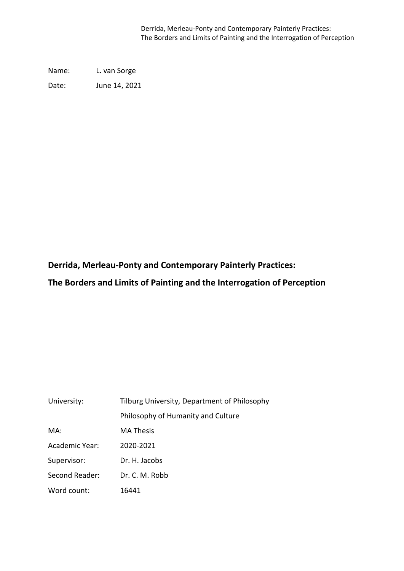Derrida, Merleau-Ponty and Contemporary Painterly Practices: The Borders and Limits of Painting and the Interrogation of Perception

Name: L. van Sorge

Date: June 14, 2021

**Derrida, Merleau-Ponty and Contemporary Painterly Practices:**

**The Borders and Limits of Painting and the Interrogation of Perception**

| University:    | Tilburg University, Department of Philosophy |  |
|----------------|----------------------------------------------|--|
|                | Philosophy of Humanity and Culture           |  |
| MA:            | <b>MA Thesis</b>                             |  |
| Academic Year: | 2020-2021                                    |  |
| Supervisor:    | Dr. H. Jacobs                                |  |
| Second Reader: | Dr. C. M. Robb                               |  |
| Word count:    | 16441                                        |  |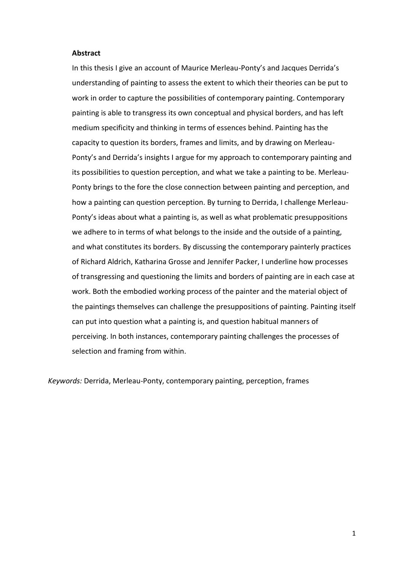#### **Abstract**

In this thesis I give an account of Maurice Merleau-Ponty's and Jacques Derrida's understanding of painting to assess the extent to which their theories can be put to work in order to capture the possibilities of contemporary painting. Contemporary painting is able to transgress its own conceptual and physical borders, and has left medium specificity and thinking in terms of essences behind. Painting has the capacity to question its borders, frames and limits, and by drawing on Merleau-Ponty's and Derrida's insights I argue for my approach to contemporary painting and its possibilities to question perception, and what we take a painting to be. Merleau-Ponty brings to the fore the close connection between painting and perception, and how a painting can question perception. By turning to Derrida, I challenge Merleau-Ponty's ideas about what a painting is, as well as what problematic presuppositions we adhere to in terms of what belongs to the inside and the outside of a painting, and what constitutes its borders. By discussing the contemporary painterly practices of Richard Aldrich, Katharina Grosse and Jennifer Packer, I underline how processes of transgressing and questioning the limits and borders of painting are in each case at work. Both the embodied working process of the painter and the material object of the paintings themselves can challenge the presuppositions of painting. Painting itself can put into question what a painting is, and question habitual manners of perceiving. In both instances, contemporary painting challenges the processes of selection and framing from within.

*Keywords:* Derrida, Merleau-Ponty, contemporary painting, perception, frames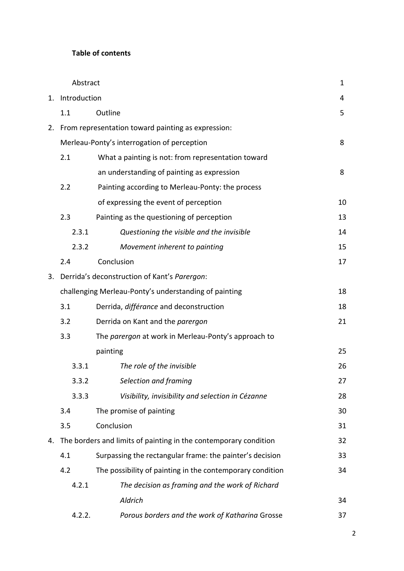# **Table of contents**

|    | Abstract                                              |                                                                  | $\mathbf{1}$ |
|----|-------------------------------------------------------|------------------------------------------------------------------|--------------|
| 1. | Introduction                                          |                                                                  | 4            |
|    | 1.1                                                   | Outline                                                          | 5            |
|    |                                                       | 2. From representation toward painting as expression:            |              |
|    | Merleau-Ponty's interrogation of perception           |                                                                  | 8            |
|    | 2.1                                                   | What a painting is not: from representation toward               |              |
|    |                                                       | an understanding of painting as expression                       | 8            |
|    | 2.2                                                   | Painting according to Merleau-Ponty: the process                 |              |
|    |                                                       | of expressing the event of perception                            | 10           |
|    | 2.3                                                   | Painting as the questioning of perception                        | 13           |
|    | 2.3.1                                                 | Questioning the visible and the invisible                        | 14           |
|    | 2.3.2                                                 | Movement inherent to painting                                    | 15           |
|    | 2.4                                                   | Conclusion                                                       | 17           |
| 3. |                                                       | Derrida's deconstruction of Kant's Parergon:                     |              |
|    | challenging Merleau-Ponty's understanding of painting |                                                                  | 18           |
|    | 3.1                                                   | Derrida, différance and deconstruction                           | 18           |
|    | 3.2                                                   | Derrida on Kant and the parergon                                 | 21           |
|    | 3.3                                                   | The parergon at work in Merleau-Ponty's approach to              |              |
|    |                                                       | painting                                                         | 25           |
|    | 3.3.1                                                 | The role of the invisible                                        | 26           |
|    | 3.3.2                                                 | Selection and framing                                            | 27           |
|    | 3.3.3                                                 | Visibility, invisibility and selection in Cézanne                | 28           |
|    | 3.4                                                   | The promise of painting                                          | 30           |
|    | 3.5                                                   | Conclusion                                                       | 31           |
| 4. |                                                       | The borders and limits of painting in the contemporary condition | 32           |
|    | 4.1                                                   | Surpassing the rectangular frame: the painter's decision         | 33           |
|    | 4.2                                                   | The possibility of painting in the contemporary condition        | 34           |
|    | 4.2.1                                                 | The decision as framing and the work of Richard                  |              |
|    |                                                       | Aldrich                                                          | 34           |
|    | 4.2.2.                                                | Porous borders and the work of Katharina Grosse                  | 37           |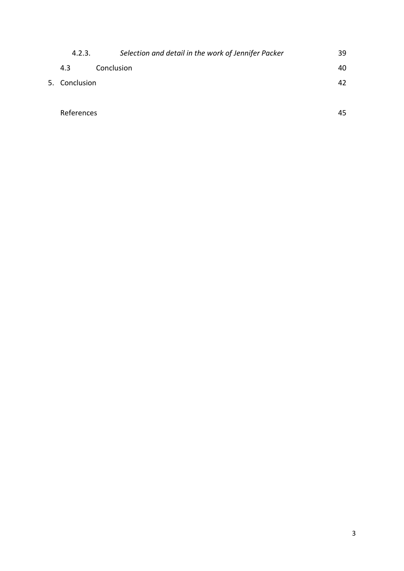| 4.2.3.        | Selection and detail in the work of Jennifer Packer | 39 |
|---------------|-----------------------------------------------------|----|
| 4.3           | Conclusion                                          | 40 |
| 5. Conclusion |                                                     | 42 |
|               |                                                     |    |
| References    |                                                     | 45 |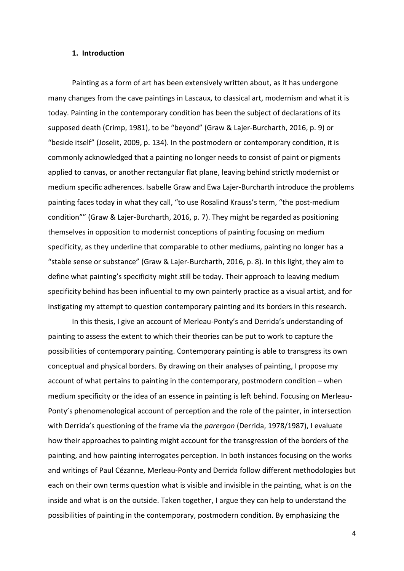#### **1. Introduction**

Painting as a form of art has been extensively written about, as it has undergone many changes from the cave paintings in Lascaux, to classical art, modernism and what it is today. Painting in the contemporary condition has been the subject of declarations of its supposed death (Crimp, 1981), to be "beyond" (Graw & Lajer-Burcharth, 2016, p. 9) or "beside itself" (Joselit, 2009, p. 134). In the postmodern or contemporary condition, it is commonly acknowledged that a painting no longer needs to consist of paint or pigments applied to canvas, or another rectangular flat plane, leaving behind strictly modernist or medium specific adherences. Isabelle Graw and Ewa Lajer-Burcharth introduce the problems painting faces today in what they call, "to use Rosalind Krauss's term, "the post-medium condition"" (Graw & Lajer-Burcharth, 2016, p. 7). They might be regarded as positioning themselves in opposition to modernist conceptions of painting focusing on medium specificity, as they underline that comparable to other mediums, painting no longer has a "stable sense or substance" (Graw & Lajer-Burcharth, 2016, p. 8). In this light, they aim to define what painting's specificity might still be today. Their approach to leaving medium specificity behind has been influential to my own painterly practice as a visual artist, and for instigating my attempt to question contemporary painting and its borders in this research.

In this thesis, I give an account of Merleau-Ponty's and Derrida's understanding of painting to assess the extent to which their theories can be put to work to capture the possibilities of contemporary painting. Contemporary painting is able to transgress its own conceptual and physical borders. By drawing on their analyses of painting, I propose my account of what pertains to painting in the contemporary, postmodern condition – when medium specificity or the idea of an essence in painting is left behind. Focusing on Merleau-Ponty's phenomenological account of perception and the role of the painter, in intersection with Derrida's questioning of the frame via the *parergon* (Derrida, 1978/1987), I evaluate how their approaches to painting might account for the transgression of the borders of the painting, and how painting interrogates perception. In both instances focusing on the works and writings of Paul Cézanne, Merleau-Ponty and Derrida follow different methodologies but each on their own terms question what is visible and invisible in the painting, what is on the inside and what is on the outside. Taken together, I argue they can help to understand the possibilities of painting in the contemporary, postmodern condition. By emphasizing the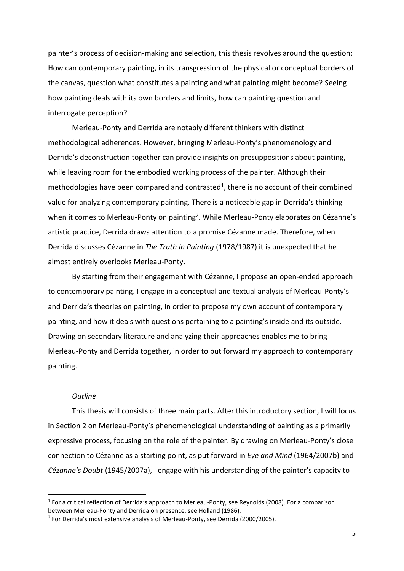painter's process of decision-making and selection, this thesis revolves around the question: How can contemporary painting, in its transgression of the physical or conceptual borders of the canvas, question what constitutes a painting and what painting might become? Seeing how painting deals with its own borders and limits, how can painting question and interrogate perception?

Merleau-Ponty and Derrida are notably different thinkers with distinct methodological adherences. However, bringing Merleau-Ponty's phenomenology and Derrida's deconstruction together can provide insights on presuppositions about painting, while leaving room for the embodied working process of the painter. Although their methodologies have been compared and contrasted<sup>1</sup>, there is no account of their combined value for analyzing contemporary painting. There is a noticeable gap in Derrida's thinking when it comes to Merleau-Ponty on painting<sup>2</sup>. While Merleau-Ponty elaborates on Cézanne's artistic practice, Derrida draws attention to a promise Cézanne made. Therefore, when Derrida discusses Cézanne in *The Truth in Painting* (1978/1987) it is unexpected that he almost entirely overlooks Merleau-Ponty.

By starting from their engagement with Cézanne, I propose an open-ended approach to contemporary painting. I engage in a conceptual and textual analysis of Merleau-Ponty's and Derrida's theories on painting, in order to propose my own account of contemporary painting, and how it deals with questions pertaining to a painting's inside and its outside. Drawing on secondary literature and analyzing their approaches enables me to bring Merleau-Ponty and Derrida together, in order to put forward my approach to contemporary painting.

### *Outline*

This thesis will consists of three main parts. After this introductory section, I will focus in Section 2 on Merleau-Ponty's phenomenological understanding of painting as a primarily expressive process, focusing on the role of the painter. By drawing on Merleau-Ponty's close connection to Cézanne as a starting point, as put forward in *Eye and Mind* (1964/2007b) and *Cézanne's Doubt* (1945/2007a), I engage with his understanding of the painter's capacity to

<sup>&</sup>lt;sup>1</sup> For a critical reflection of Derrida's approach to Merleau-Ponty, see Reynolds (2008). For a comparison between Merleau-Ponty and Derrida on presence, see Holland (1986).

<sup>&</sup>lt;sup>2</sup> For Derrida's most extensive analysis of Merleau-Ponty, see Derrida (2000/2005).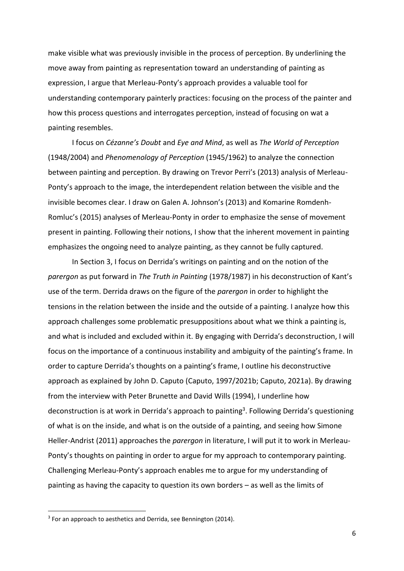make visible what was previously invisible in the process of perception. By underlining the move away from painting as representation toward an understanding of painting as expression, I argue that Merleau-Ponty's approach provides a valuable tool for understanding contemporary painterly practices: focusing on the process of the painter and how this process questions and interrogates perception, instead of focusing on wat a painting resembles.

I focus on *Cézanne's Doubt* and *Eye and Mind*, as well as *The World of Perception* (1948/2004) and *Phenomenology of Perception* (1945/1962) to analyze the connection between painting and perception. By drawing on Trevor Perri's (2013) analysis of Merleau-Ponty's approach to the image, the interdependent relation between the visible and the invisible becomes clear. I draw on Galen A. Johnson's (2013) and Komarine Romdenh-Romluc's (2015) analyses of Merleau-Ponty in order to emphasize the sense of movement present in painting. Following their notions, I show that the inherent movement in painting emphasizes the ongoing need to analyze painting, as they cannot be fully captured.

In Section 3, I focus on Derrida's writings on painting and on the notion of the *parergon* as put forward in *The Truth in Painting* (1978/1987) in his deconstruction of Kant's use of the term. Derrida draws on the figure of the *parergon* in order to highlight the tensions in the relation between the inside and the outside of a painting. I analyze how this approach challenges some problematic presuppositions about what we think a painting is, and what is included and excluded within it. By engaging with Derrida's deconstruction, I will focus on the importance of a continuous instability and ambiguity of the painting's frame. In order to capture Derrida's thoughts on a painting's frame, I outline his deconstructive approach as explained by John D. Caputo (Caputo, 1997/2021b; Caputo, 2021a). By drawing from the interview with Peter Brunette and David Wills (1994), I underline how deconstruction is at work in Derrida's approach to painting<sup>3</sup>. Following Derrida's questioning of what is on the inside, and what is on the outside of a painting, and seeing how Simone Heller-Andrist (2011) approaches the *parergon* in literature, I will put it to work in Merleau-Ponty's thoughts on painting in order to argue for my approach to contemporary painting. Challenging Merleau-Ponty's approach enables me to argue for my understanding of painting as having the capacity to question its own borders – as well as the limits of

<sup>&</sup>lt;sup>3</sup> For an approach to aesthetics and Derrida, see Bennington (2014).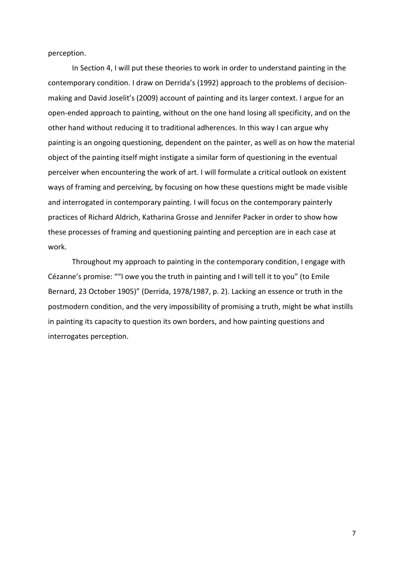perception.

In Section 4, I will put these theories to work in order to understand painting in the contemporary condition. I draw on Derrida's (1992) approach to the problems of decisionmaking and David Joselit's (2009) account of painting and its larger context. I argue for an open-ended approach to painting, without on the one hand losing all specificity, and on the other hand without reducing it to traditional adherences. In this way I can argue why painting is an ongoing questioning, dependent on the painter, as well as on how the material object of the painting itself might instigate a similar form of questioning in the eventual perceiver when encountering the work of art. I will formulate a critical outlook on existent ways of framing and perceiving, by focusing on how these questions might be made visible and interrogated in contemporary painting. I will focus on the contemporary painterly practices of Richard Aldrich, Katharina Grosse and Jennifer Packer in order to show how these processes of framing and questioning painting and perception are in each case at work.

Throughout my approach to painting in the contemporary condition, I engage with Cézanne's promise: ""I owe you the truth in painting and I will tell it to you" (to Emile Bernard, 23 October 1905)" (Derrida, 1978/1987, p. 2). Lacking an essence or truth in the postmodern condition, and the very impossibility of promising a truth, might be what instills in painting its capacity to question its own borders, and how painting questions and interrogates perception.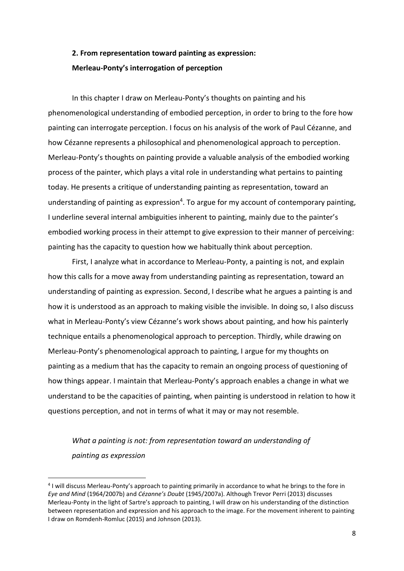# **2. From representation toward painting as expression: Merleau-Ponty's interrogation of perception**

In this chapter I draw on Merleau-Ponty's thoughts on painting and his phenomenological understanding of embodied perception, in order to bring to the fore how painting can interrogate perception. I focus on his analysis of the work of Paul Cézanne, and how Cézanne represents a philosophical and phenomenological approach to perception. Merleau-Ponty's thoughts on painting provide a valuable analysis of the embodied working process of the painter, which plays a vital role in understanding what pertains to painting today. He presents a critique of understanding painting as representation, toward an understanding of painting as expression<sup>4</sup>. To argue for my account of contemporary painting, I underline several internal ambiguities inherent to painting, mainly due to the painter's embodied working process in their attempt to give expression to their manner of perceiving: painting has the capacity to question how we habitually think about perception.

First, I analyze what in accordance to Merleau-Ponty, a painting is not, and explain how this calls for a move away from understanding painting as representation, toward an understanding of painting as expression. Second, I describe what he argues a painting is and how it is understood as an approach to making visible the invisible. In doing so, I also discuss what in Merleau-Ponty's view Cézanne's work shows about painting, and how his painterly technique entails a phenomenological approach to perception. Thirdly, while drawing on Merleau-Ponty's phenomenological approach to painting, I argue for my thoughts on painting as a medium that has the capacity to remain an ongoing process of questioning of how things appear. I maintain that Merleau-Ponty's approach enables a change in what we understand to be the capacities of painting, when painting is understood in relation to how it questions perception, and not in terms of what it may or may not resemble.

# *What a painting is not: from representation toward an understanding of painting as expression*

<sup>&</sup>lt;sup>4</sup> I will discuss Merleau-Ponty's approach to painting primarily in accordance to what he brings to the fore in *Eye and Mind* (1964/2007b) and *Cézanne's Doubt* (1945/2007a). Although Trevor Perri (2013) discusses Merleau-Ponty in the light of Sartre's approach to painting, I will draw on his understanding of the distinction between representation and expression and his approach to the image. For the movement inherent to painting I draw on Romdenh-Romluc (2015) and Johnson (2013).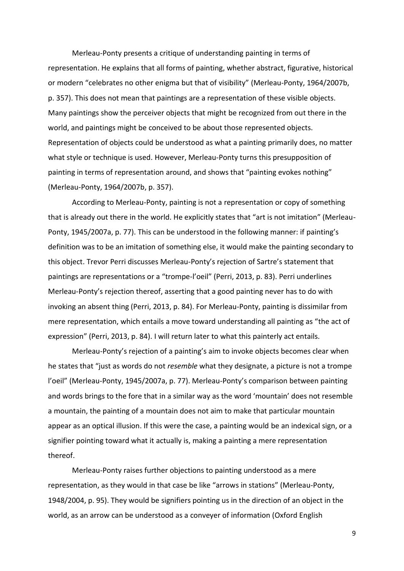Merleau-Ponty presents a critique of understanding painting in terms of representation. He explains that all forms of painting, whether abstract, figurative, historical or modern "celebrates no other enigma but that of visibility" (Merleau-Ponty, 1964/2007b, p. 357). This does not mean that paintings are a representation of these visible objects. Many paintings show the perceiver objects that might be recognized from out there in the world, and paintings might be conceived to be about those represented objects. Representation of objects could be understood as what a painting primarily does, no matter what style or technique is used. However, Merleau-Ponty turns this presupposition of painting in terms of representation around, and shows that "painting evokes nothing" (Merleau-Ponty, 1964/2007b, p. 357).

According to Merleau-Ponty, painting is not a representation or copy of something that is already out there in the world. He explicitly states that "art is not imitation" (Merleau-Ponty, 1945/2007a, p. 77). This can be understood in the following manner: if painting's definition was to be an imitation of something else, it would make the painting secondary to this object. Trevor Perri discusses Merleau-Ponty's rejection of Sartre's statement that paintings are representations or a "trompe-l'oeil" (Perri, 2013, p. 83). Perri underlines Merleau-Ponty's rejection thereof, asserting that a good painting never has to do with invoking an absent thing (Perri, 2013, p. 84). For Merleau-Ponty, painting is dissimilar from mere representation, which entails a move toward understanding all painting as "the act of expression" (Perri, 2013, p. 84). I will return later to what this painterly act entails.

Merleau-Ponty's rejection of a painting's aim to invoke objects becomes clear when he states that "just as words do not *resemble* what they designate, a picture is not a trompe l'oeil" (Merleau-Ponty, 1945/2007a, p. 77). Merleau-Ponty's comparison between painting and words brings to the fore that in a similar way as the word 'mountain' does not resemble a mountain, the painting of a mountain does not aim to make that particular mountain appear as an optical illusion. If this were the case, a painting would be an indexical sign, or a signifier pointing toward what it actually is, making a painting a mere representation thereof.

Merleau-Ponty raises further objections to painting understood as a mere representation, as they would in that case be like "arrows in stations" (Merleau-Ponty, 1948/2004, p. 95). They would be signifiers pointing us in the direction of an object in the world, as an arrow can be understood as a conveyer of information (Oxford English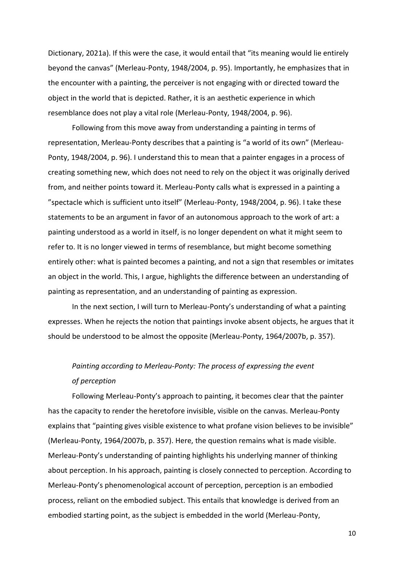Dictionary, 2021a). If this were the case, it would entail that "its meaning would lie entirely beyond the canvas" (Merleau-Ponty, 1948/2004, p. 95). Importantly, he emphasizes that in the encounter with a painting, the perceiver is not engaging with or directed toward the object in the world that is depicted. Rather, it is an aesthetic experience in which resemblance does not play a vital role (Merleau-Ponty, 1948/2004, p. 96).

Following from this move away from understanding a painting in terms of representation, Merleau-Ponty describes that a painting is "a world of its own" (Merleau-Ponty, 1948/2004, p. 96). I understand this to mean that a painter engages in a process of creating something new, which does not need to rely on the object it was originally derived from, and neither points toward it. Merleau-Ponty calls what is expressed in a painting a "spectacle which is sufficient unto itself" (Merleau-Ponty, 1948/2004, p. 96). I take these statements to be an argument in favor of an autonomous approach to the work of art: a painting understood as a world in itself, is no longer dependent on what it might seem to refer to. It is no longer viewed in terms of resemblance, but might become something entirely other: what is painted becomes a painting, and not a sign that resembles or imitates an object in the world. This, I argue, highlights the difference between an understanding of painting as representation, and an understanding of painting as expression.

In the next section, I will turn to Merleau-Ponty's understanding of what a painting expresses. When he rejects the notion that paintings invoke absent objects, he argues that it should be understood to be almost the opposite (Merleau-Ponty, 1964/2007b, p. 357).

# *Painting according to Merleau-Ponty: The process of expressing the event of perception*

Following Merleau-Ponty's approach to painting, it becomes clear that the painter has the capacity to render the heretofore invisible, visible on the canvas. Merleau-Ponty explains that "painting gives visible existence to what profane vision believes to be invisible" (Merleau-Ponty, 1964/2007b, p. 357). Here, the question remains what is made visible. Merleau-Ponty's understanding of painting highlights his underlying manner of thinking about perception. In his approach, painting is closely connected to perception. According to Merleau-Ponty's phenomenological account of perception, perception is an embodied process, reliant on the embodied subject. This entails that knowledge is derived from an embodied starting point, as the subject is embedded in the world (Merleau-Ponty,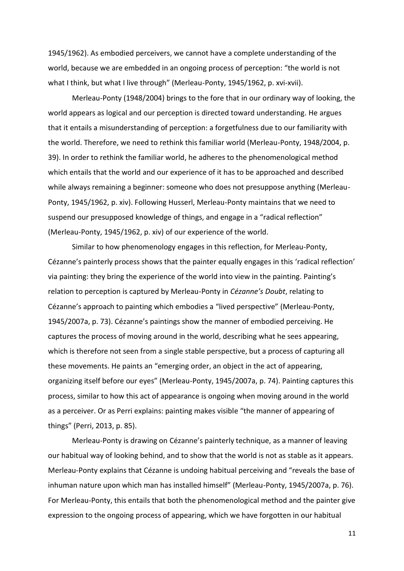1945/1962). As embodied perceivers, we cannot have a complete understanding of the world, because we are embedded in an ongoing process of perception: "the world is not what I think, but what I live through" (Merleau-Ponty, 1945/1962, p. xvi-xvii).

Merleau-Ponty (1948/2004) brings to the fore that in our ordinary way of looking, the world appears as logical and our perception is directed toward understanding. He argues that it entails a misunderstanding of perception: a forgetfulness due to our familiarity with the world. Therefore, we need to rethink this familiar world (Merleau-Ponty, 1948/2004, p. 39). In order to rethink the familiar world, he adheres to the phenomenological method which entails that the world and our experience of it has to be approached and described while always remaining a beginner: someone who does not presuppose anything (Merleau-Ponty, 1945/1962, p. xiv). Following Husserl, Merleau-Ponty maintains that we need to suspend our presupposed knowledge of things, and engage in a "radical reflection" (Merleau-Ponty, 1945/1962, p. xiv) of our experience of the world.

Similar to how phenomenology engages in this reflection, for Merleau-Ponty, Cézanne's painterly process shows that the painter equally engages in this 'radical reflection' via painting: they bring the experience of the world into view in the painting. Painting's relation to perception is captured by Merleau-Ponty in *Cézanne's Doubt*, relating to Cézanne's approach to painting which embodies a "lived perspective" (Merleau-Ponty, 1945/2007a, p. 73). Cézanne's paintings show the manner of embodied perceiving. He captures the process of moving around in the world, describing what he sees appearing, which is therefore not seen from a single stable perspective, but a process of capturing all these movements. He paints an "emerging order, an object in the act of appearing, organizing itself before our eyes" (Merleau-Ponty, 1945/2007a, p. 74). Painting captures this process, similar to how this act of appearance is ongoing when moving around in the world as a perceiver. Or as Perri explains: painting makes visible "the manner of appearing of things" (Perri, 2013, p. 85).

Merleau-Ponty is drawing on Cézanne's painterly technique, as a manner of leaving our habitual way of looking behind, and to show that the world is not as stable as it appears. Merleau-Ponty explains that Cézanne is undoing habitual perceiving and "reveals the base of inhuman nature upon which man has installed himself" (Merleau-Ponty, 1945/2007a, p. 76). For Merleau-Ponty, this entails that both the phenomenological method and the painter give expression to the ongoing process of appearing, which we have forgotten in our habitual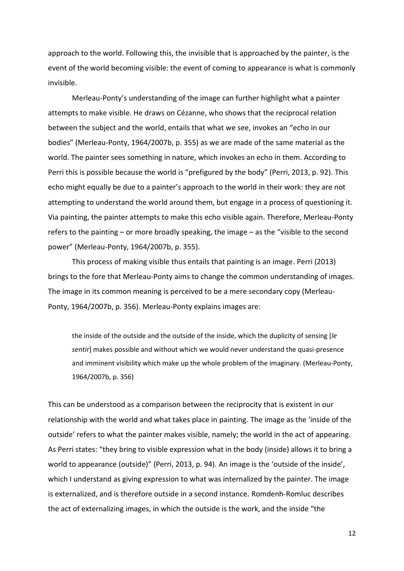approach to the world. Following this, the invisible that is approached by the painter, is the event of the world becoming visible: the event of coming to appearance is what is commonly invisible.

Merleau-Ponty's understanding of the image can further highlight what a painter attempts to make visible. He draws on Cézanne, who shows that the reciprocal relation between the subject and the world, entails that what we see, invokes an "echo in our bodies" (Merleau-Ponty, 1964/2007b, p. 355) as we are made of the same material as the world. The painter sees something in nature, which invokes an echo in them. According to Perri this is possible because the world is "prefigured by the body" (Perri, 2013, p. 92). This echo might equally be due to a painter's approach to the world in their work: they are not attempting to understand the world around them, but engage in a process of questioning it. Via painting, the painter attempts to make this echo visible again. Therefore, Merleau-Ponty refers to the painting – or more broadly speaking, the image – as the "visible to the second power" (Merleau-Ponty, 1964/2007b, p. 355).

This process of making visible thus entails that painting is an image. Perri (2013) brings to the fore that Merleau-Ponty aims to change the common understanding of images. The image in its common meaning is perceived to be a mere secondary copy (Merleau-Ponty, 1964/2007b, p. 356). Merleau-Ponty explains images are:

the inside of the outside and the outside of the inside, which the duplicity of sensing [*le sentir*] makes possible and without which we would never understand the quasi-presence and imminent visibility which make up the whole problem of the imaginary. (Merleau-Ponty, 1964/2007b, p. 356)

This can be understood as a comparison between the reciprocity that is existent in our relationship with the world and what takes place in painting. The image as the 'inside of the outside' refers to what the painter makes visible, namely; the world in the act of appearing. As Perri states: "they bring to visible expression what in the body (inside) allows it to bring a world to appearance (outside)" (Perri, 2013, p. 94). An image is the 'outside of the inside', which I understand as giving expression to what was internalized by the painter. The image is externalized, and is therefore outside in a second instance. Romdenh-Romluc describes the act of externalizing images, in which the outside is the work, and the inside "the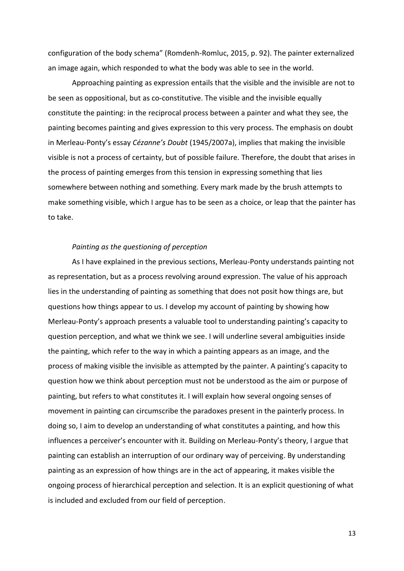configuration of the body schema" (Romdenh-Romluc, 2015, p. 92). The painter externalized an image again, which responded to what the body was able to see in the world.

Approaching painting as expression entails that the visible and the invisible are not to be seen as oppositional, but as co-constitutive. The visible and the invisible equally constitute the painting: in the reciprocal process between a painter and what they see, the painting becomes painting and gives expression to this very process. The emphasis on doubt in Merleau-Ponty's essay *Cézanne's Doubt* (1945/2007a), implies that making the invisible visible is not a process of certainty, but of possible failure. Therefore, the doubt that arises in the process of painting emerges from this tension in expressing something that lies somewhere between nothing and something. Every mark made by the brush attempts to make something visible, which I argue has to be seen as a choice, or leap that the painter has to take.

#### *Painting as the questioning of perception*

As I have explained in the previous sections, Merleau-Ponty understands painting not as representation, but as a process revolving around expression. The value of his approach lies in the understanding of painting as something that does not posit how things are, but questions how things appear to us. I develop my account of painting by showing how Merleau-Ponty's approach presents a valuable tool to understanding painting's capacity to question perception, and what we think we see. I will underline several ambiguities inside the painting, which refer to the way in which a painting appears as an image, and the process of making visible the invisible as attempted by the painter. A painting's capacity to question how we think about perception must not be understood as the aim or purpose of painting, but refers to what constitutes it. I will explain how several ongoing senses of movement in painting can circumscribe the paradoxes present in the painterly process. In doing so, I aim to develop an understanding of what constitutes a painting, and how this influences a perceiver's encounter with it. Building on Merleau-Ponty's theory, I argue that painting can establish an interruption of our ordinary way of perceiving. By understanding painting as an expression of how things are in the act of appearing, it makes visible the ongoing process of hierarchical perception and selection. It is an explicit questioning of what is included and excluded from our field of perception.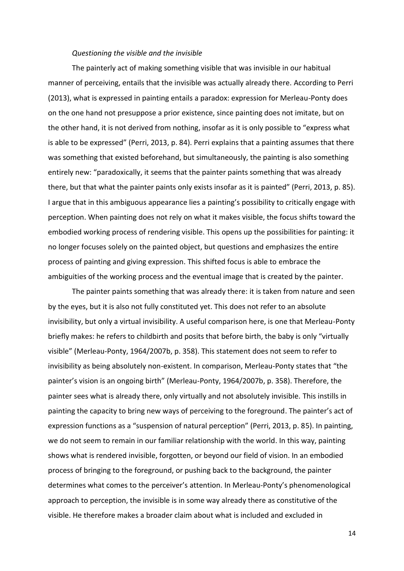#### *Questioning the visible and the invisible*

The painterly act of making something visible that was invisible in our habitual manner of perceiving, entails that the invisible was actually already there. According to Perri (2013), what is expressed in painting entails a paradox: expression for Merleau-Ponty does on the one hand not presuppose a prior existence, since painting does not imitate, but on the other hand, it is not derived from nothing, insofar as it is only possible to "express what is able to be expressed" (Perri, 2013, p. 84). Perri explains that a painting assumes that there was something that existed beforehand, but simultaneously, the painting is also something entirely new: "paradoxically, it seems that the painter paints something that was already there, but that what the painter paints only exists insofar as it is painted" (Perri, 2013, p. 85). I argue that in this ambiguous appearance lies a painting's possibility to critically engage with perception. When painting does not rely on what it makes visible, the focus shifts toward the embodied working process of rendering visible. This opens up the possibilities for painting: it no longer focuses solely on the painted object, but questions and emphasizes the entire process of painting and giving expression. This shifted focus is able to embrace the ambiguities of the working process and the eventual image that is created by the painter.

The painter paints something that was already there: it is taken from nature and seen by the eyes, but it is also not fully constituted yet. This does not refer to an absolute invisibility, but only a virtual invisibility. A useful comparison here, is one that Merleau-Ponty briefly makes: he refers to childbirth and posits that before birth, the baby is only "virtually visible" (Merleau-Ponty, 1964/2007b, p. 358). This statement does not seem to refer to invisibility as being absolutely non-existent. In comparison, Merleau-Ponty states that "the painter's vision is an ongoing birth" (Merleau-Ponty, 1964/2007b, p. 358). Therefore, the painter sees what is already there, only virtually and not absolutely invisible. This instills in painting the capacity to bring new ways of perceiving to the foreground. The painter's act of expression functions as a "suspension of natural perception" (Perri, 2013, p. 85). In painting, we do not seem to remain in our familiar relationship with the world. In this way, painting shows what is rendered invisible, forgotten, or beyond our field of vision. In an embodied process of bringing to the foreground, or pushing back to the background, the painter determines what comes to the perceiver's attention. In Merleau-Ponty's phenomenological approach to perception, the invisible is in some way already there as constitutive of the visible. He therefore makes a broader claim about what is included and excluded in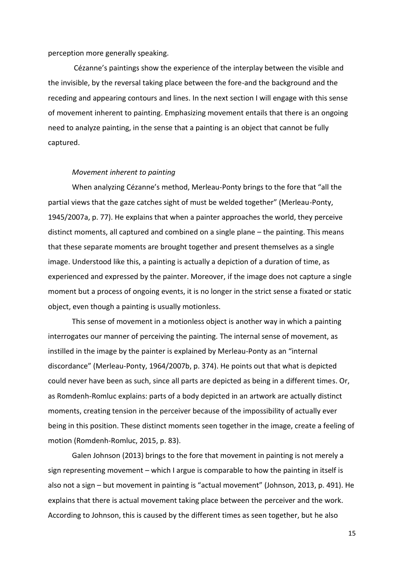#### perception more generally speaking.

Cézanne's paintings show the experience of the interplay between the visible and the invisible, by the reversal taking place between the fore-and the background and the receding and appearing contours and lines. In the next section I will engage with this sense of movement inherent to painting. Emphasizing movement entails that there is an ongoing need to analyze painting, in the sense that a painting is an object that cannot be fully captured.

#### *Movement inherent to painting*

When analyzing Cézanne's method, Merleau-Ponty brings to the fore that "all the partial views that the gaze catches sight of must be welded together" (Merleau-Ponty, 1945/2007a, p. 77). He explains that when a painter approaches the world, they perceive distinct moments, all captured and combined on a single plane – the painting. This means that these separate moments are brought together and present themselves as a single image. Understood like this, a painting is actually a depiction of a duration of time, as experienced and expressed by the painter. Moreover, if the image does not capture a single moment but a process of ongoing events, it is no longer in the strict sense a fixated or static object, even though a painting is usually motionless.

This sense of movement in a motionless object is another way in which a painting interrogates our manner of perceiving the painting. The internal sense of movement, as instilled in the image by the painter is explained by Merleau-Ponty as an "internal discordance" (Merleau-Ponty, 1964/2007b, p. 374). He points out that what is depicted could never have been as such, since all parts are depicted as being in a different times. Or, as Romdenh-Romluc explains: parts of a body depicted in an artwork are actually distinct moments, creating tension in the perceiver because of the impossibility of actually ever being in this position. These distinct moments seen together in the image, create a feeling of motion (Romdenh-Romluc, 2015, p. 83).

Galen Johnson (2013) brings to the fore that movement in painting is not merely a sign representing movement – which I argue is comparable to how the painting in itself is also not a sign – but movement in painting is "actual movement" (Johnson, 2013, p. 491). He explains that there is actual movement taking place between the perceiver and the work. According to Johnson, this is caused by the different times as seen together, but he also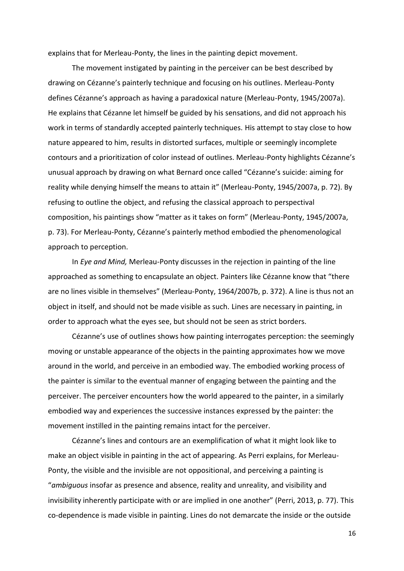explains that for Merleau-Ponty, the lines in the painting depict movement.

The movement instigated by painting in the perceiver can be best described by drawing on Cézanne's painterly technique and focusing on his outlines. Merleau-Ponty defines Cézanne's approach as having a paradoxical nature (Merleau-Ponty, 1945/2007a). He explains that Cézanne let himself be guided by his sensations, and did not approach his work in terms of standardly accepted painterly techniques. His attempt to stay close to how nature appeared to him, results in distorted surfaces, multiple or seemingly incomplete contours and a prioritization of color instead of outlines. Merleau-Ponty highlights Cézanne's unusual approach by drawing on what Bernard once called "Cézanne's suicide: aiming for reality while denying himself the means to attain it" (Merleau-Ponty, 1945/2007a, p. 72). By refusing to outline the object, and refusing the classical approach to perspectival composition, his paintings show "matter as it takes on form" (Merleau-Ponty, 1945/2007a, p. 73). For Merleau-Ponty, Cézanne's painterly method embodied the phenomenological approach to perception.

In *Eye and Mind,* Merleau-Ponty discusses in the rejection in painting of the line approached as something to encapsulate an object. Painters like Cézanne know that "there are no lines visible in themselves" (Merleau-Ponty, 1964/2007b, p. 372). A line is thus not an object in itself, and should not be made visible as such. Lines are necessary in painting, in order to approach what the eyes see, but should not be seen as strict borders.

Cézanne's use of outlines shows how painting interrogates perception: the seemingly moving or unstable appearance of the objects in the painting approximates how we move around in the world, and perceive in an embodied way. The embodied working process of the painter is similar to the eventual manner of engaging between the painting and the perceiver. The perceiver encounters how the world appeared to the painter, in a similarly embodied way and experiences the successive instances expressed by the painter: the movement instilled in the painting remains intact for the perceiver.

Cézanne's lines and contours are an exemplification of what it might look like to make an object visible in painting in the act of appearing. As Perri explains, for Merleau-Ponty, the visible and the invisible are not oppositional, and perceiving a painting is "*ambiguous* insofar as presence and absence, reality and unreality, and visibility and invisibility inherently participate with or are implied in one another" (Perri, 2013, p. 77). This co-dependence is made visible in painting. Lines do not demarcate the inside or the outside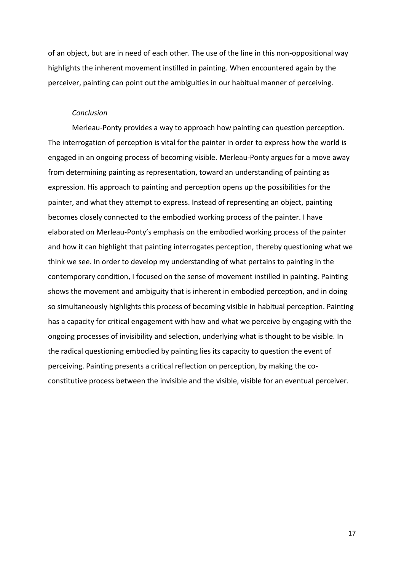of an object, but are in need of each other. The use of the line in this non-oppositional way highlights the inherent movement instilled in painting. When encountered again by the perceiver, painting can point out the ambiguities in our habitual manner of perceiving.

#### *Conclusion*

Merleau-Ponty provides a way to approach how painting can question perception. The interrogation of perception is vital for the painter in order to express how the world is engaged in an ongoing process of becoming visible. Merleau-Ponty argues for a move away from determining painting as representation, toward an understanding of painting as expression. His approach to painting and perception opens up the possibilities for the painter, and what they attempt to express. Instead of representing an object, painting becomes closely connected to the embodied working process of the painter. I have elaborated on Merleau-Ponty's emphasis on the embodied working process of the painter and how it can highlight that painting interrogates perception, thereby questioning what we think we see. In order to develop my understanding of what pertains to painting in the contemporary condition, I focused on the sense of movement instilled in painting. Painting shows the movement and ambiguity that is inherent in embodied perception, and in doing so simultaneously highlights this process of becoming visible in habitual perception. Painting has a capacity for critical engagement with how and what we perceive by engaging with the ongoing processes of invisibility and selection, underlying what is thought to be visible. In the radical questioning embodied by painting lies its capacity to question the event of perceiving. Painting presents a critical reflection on perception, by making the coconstitutive process between the invisible and the visible, visible for an eventual perceiver.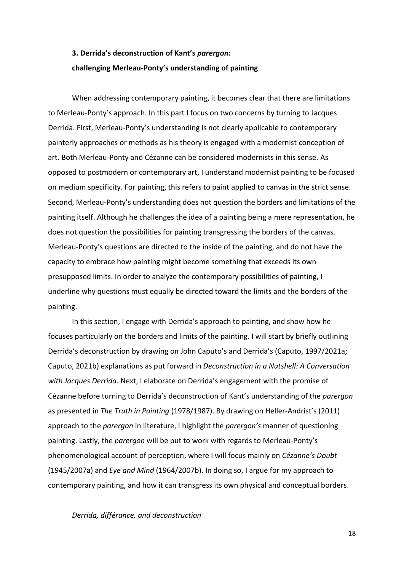# **3. Derrida's deconstruction of Kant's** *parergon***: challenging Merleau-Ponty's understanding of painting**

When addressing contemporary painting, it becomes clear that there are limitations to Merleau-Ponty's approach. In this part I focus on two concerns by turning to Jacques Derrida. First, Merleau-Ponty's understanding is not clearly applicable to contemporary painterly approaches or methods as his theory is engaged with a modernist conception of art. Both Merleau-Ponty and Cézanne can be considered modernists in this sense. As opposed to postmodern or contemporary art, I understand modernist painting to be focused on medium specificity. For painting, this refers to paint applied to canvas in the strict sense. Second, Merleau-Ponty's understanding does not question the borders and limitations of the painting itself. Although he challenges the idea of a painting being a mere representation, he does not question the possibilities for painting transgressing the borders of the canvas. Merleau-Ponty's questions are directed to the inside of the painting, and do not have the capacity to embrace how painting might become something that exceeds its own presupposed limits. In order to analyze the contemporary possibilities of painting, I underline why questions must equally be directed toward the limits and the borders of the painting.

In this section, I engage with Derrida's approach to painting, and show how he focuses particularly on the borders and limits of the painting. I will start by briefly outlining Derrida's deconstruction by drawing on John Caputo's and Derrida's (Caputo, 1997/2021a; Caputo, 2021b) explanations as put forward in *Deconstruction in a Nutshell: A Conversation with Jacques Derrida*. Next, I elaborate on Derrida's engagement with the promise of Cézanne before turning to Derrida's deconstruction of Kant's understanding of the *parergon*  as presented in *The Truth in Painting* (1978/1987). By drawing on Heller-Andrist's (2011) approach to the *parergon* in literature, I highlight the *parergon's* manner of questioning painting. Lastly, the *parergon* will be put to work with regards to Merleau-Ponty's phenomenological account of perception, where I will focus mainly on *Cézanne's Doubt* (1945/2007a) and *Eye and Mind* (1964/2007b). In doing so, I argue for my approach to contemporary painting, and how it can transgress its own physical and conceptual borders.

*Derrida, différance, and deconstruction*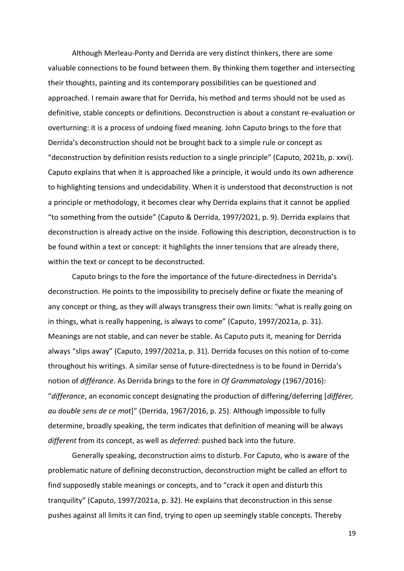Although Merleau-Ponty and Derrida are very distinct thinkers, there are some valuable connections to be found between them. By thinking them together and intersecting their thoughts, painting and its contemporary possibilities can be questioned and approached. I remain aware that for Derrida, his method and terms should not be used as definitive, stable concepts or definitions. Deconstruction is about a constant re-evaluation or overturning: it is a process of undoing fixed meaning. John Caputo brings to the fore that Derrida's deconstruction should not be brought back to a simple rule or concept as "deconstruction by definition resists reduction to a single principle" (Caputo, 2021b, p. xxvi). Caputo explains that when it is approached like a principle, it would undo its own adherence to highlighting tensions and undecidability. When it is understood that deconstruction is not a principle or methodology, it becomes clear why Derrida explains that it cannot be applied "to something from the outside" (Caputo & Derrida, 1997/2021, p. 9). Derrida explains that deconstruction is already active on the inside. Following this description, deconstruction is to be found within a text or concept: it highlights the inner tensions that are already there, within the text or concept to be deconstructed.

Caputo brings to the fore the importance of the future-directedness in Derrida's deconstruction. He points to the impossibility to precisely define or fixate the meaning of any concept or thing, as they will always transgress their own limits: "what is really going on in things, what is really happening, is always to come" (Caputo, 1997/2021a, p. 31). Meanings are not stable, and can never be stable. As Caputo puts it, meaning for Derrida always "slips away" (Caputo, 1997/2021a, p. 31). Derrida focuses on this notion of to-come throughout his writings. A similar sense of future-directedness is to be found in Derrida's notion of *différance*. As Derrida brings to the fore in *Of Grammatology* (1967/2016): "*differance*, an economic concept designating the production of differing/deferring [*différer, au double sens de ce mot*]" (Derrida, 1967/2016, p. 25). Although impossible to fully determine, broadly speaking, the term indicates that definition of meaning will be always *different* from its concept, as well as *deferred*: pushed back into the future.

Generally speaking, deconstruction aims to disturb. For Caputo, who is aware of the problematic nature of defining deconstruction, deconstruction might be called an effort to find supposedly stable meanings or concepts, and to "crack it open and disturb this tranquility" (Caputo, 1997/2021a, p. 32). He explains that deconstruction in this sense pushes against all limits it can find, trying to open up seemingly stable concepts. Thereby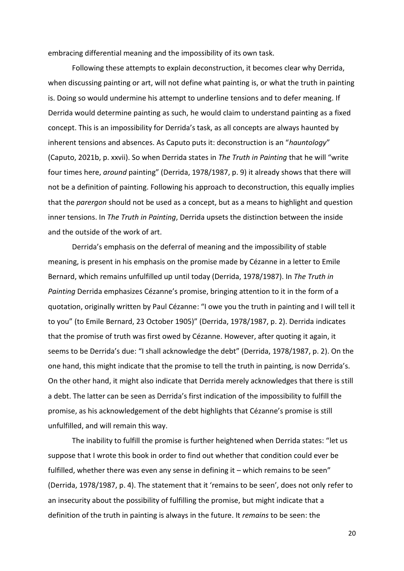embracing differential meaning and the impossibility of its own task.

Following these attempts to explain deconstruction, it becomes clear why Derrida, when discussing painting or art, will not define what painting is, or what the truth in painting is. Doing so would undermine his attempt to underline tensions and to defer meaning. If Derrida would determine painting as such, he would claim to understand painting as a fixed concept. This is an impossibility for Derrida's task, as all concepts are always haunted by inherent tensions and absences. As Caputo puts it: deconstruction is an "*hauntology*" (Caputo, 2021b, p. xxvii). So when Derrida states in *The Truth in Painting* that he will "write four times here, *around* painting" (Derrida, 1978/1987, p. 9) it already shows that there will not be a definition of painting. Following his approach to deconstruction, this equally implies that the *parergon* should not be used as a concept, but as a means to highlight and question inner tensions. In *The Truth in Painting*, Derrida upsets the distinction between the inside and the outside of the work of art.

Derrida's emphasis on the deferral of meaning and the impossibility of stable meaning, is present in his emphasis on the promise made by Cézanne in a letter to Emile Bernard, which remains unfulfilled up until today (Derrida, 1978/1987). In *The Truth in Painting* Derrida emphasizes Cézanne's promise, bringing attention to it in the form of a quotation, originally written by Paul Cézanne: "I owe you the truth in painting and I will tell it to you" (to Emile Bernard, 23 October 1905)" (Derrida, 1978/1987, p. 2). Derrida indicates that the promise of truth was first owed by Cézanne. However, after quoting it again, it seems to be Derrida's due: "I shall acknowledge the debt" (Derrida, 1978/1987, p. 2). On the one hand, this might indicate that the promise to tell the truth in painting, is now Derrida's. On the other hand, it might also indicate that Derrida merely acknowledges that there is still a debt. The latter can be seen as Derrida's first indication of the impossibility to fulfill the promise, as his acknowledgement of the debt highlights that Cézanne's promise is still unfulfilled, and will remain this way.

The inability to fulfill the promise is further heightened when Derrida states: "let us suppose that I wrote this book in order to find out whether that condition could ever be fulfilled, whether there was even any sense in defining it – which remains to be seen" (Derrida, 1978/1987, p. 4). The statement that it 'remains to be seen', does not only refer to an insecurity about the possibility of fulfilling the promise, but might indicate that a definition of the truth in painting is always in the future. It *remains* to be seen: the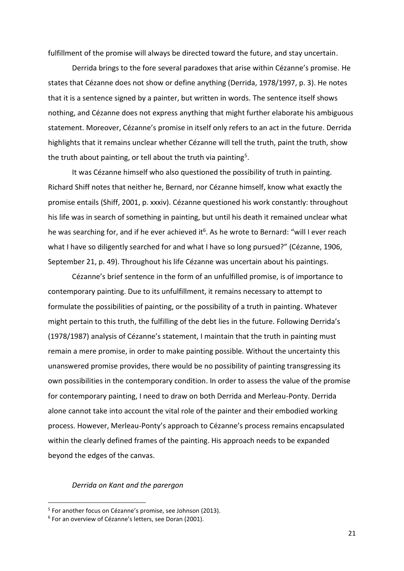fulfillment of the promise will always be directed toward the future, and stay uncertain.

Derrida brings to the fore several paradoxes that arise within Cézanne's promise. He states that Cézanne does not show or define anything (Derrida, 1978/1997, p. 3). He notes that it is a sentence signed by a painter, but written in words. The sentence itself shows nothing, and Cézanne does not express anything that might further elaborate his ambiguous statement. Moreover, Cézanne's promise in itself only refers to an act in the future. Derrida highlights that it remains unclear whether Cézanne will tell the truth, paint the truth, show the truth about painting, or tell about the truth via painting<sup>5</sup>.

It was Cézanne himself who also questioned the possibility of truth in painting. Richard Shiff notes that neither he, Bernard, nor Cézanne himself, know what exactly the promise entails (Shiff, 2001, p. xxxiv). Cézanne questioned his work constantly: throughout his life was in search of something in painting, but until his death it remained unclear what he was searching for, and if he ever achieved it<sup>6</sup>. As he wrote to Bernard: "will I ever reach what I have so diligently searched for and what I have so long pursued?" (Cézanne, 1906, September 21, p. 49). Throughout his life Cézanne was uncertain about his paintings.

Cézanne's brief sentence in the form of an unfulfilled promise, is of importance to contemporary painting. Due to its unfulfillment, it remains necessary to attempt to formulate the possibilities of painting, or the possibility of a truth in painting. Whatever might pertain to this truth, the fulfilling of the debt lies in the future. Following Derrida's (1978/1987) analysis of Cézanne's statement, I maintain that the truth in painting must remain a mere promise, in order to make painting possible. Without the uncertainty this unanswered promise provides, there would be no possibility of painting transgressing its own possibilities in the contemporary condition. In order to assess the value of the promise for contemporary painting, I need to draw on both Derrida and Merleau-Ponty. Derrida alone cannot take into account the vital role of the painter and their embodied working process. However, Merleau-Ponty's approach to Cézanne's process remains encapsulated within the clearly defined frames of the painting. His approach needs to be expanded beyond the edges of the canvas.

### *Derrida on Kant and the parergon*

<sup>&</sup>lt;sup>5</sup> For another focus on Cézanne's promise, see Johnson (2013).

<sup>6</sup> For an overview of Cézanne's letters, see Doran (2001).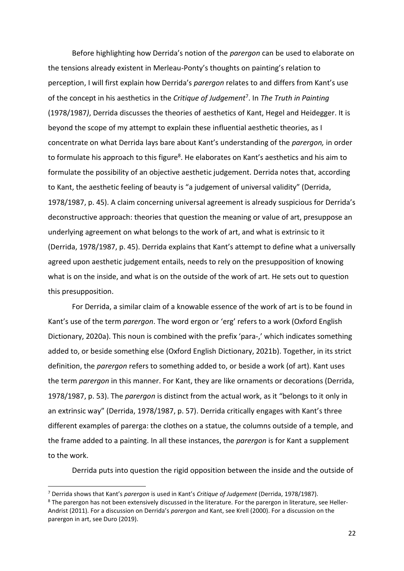Before highlighting how Derrida's notion of the *parergon* can be used to elaborate on the tensions already existent in Merleau-Ponty's thoughts on painting's relation to perception, I will first explain how Derrida's *parergon* relates to and differs from Kant's use of the concept in his aesthetics in the *Critique of Judgement*<sup>7</sup> . In *The Truth in Painting* (1978/1987*)*, Derrida discusses the theories of aesthetics of Kant, Hegel and Heidegger. It is beyond the scope of my attempt to explain these influential aesthetic theories, as I concentrate on what Derrida lays bare about Kant's understanding of the *parergon,* in order to formulate his approach to this figure<sup>8</sup>. He elaborates on Kant's aesthetics and his aim to formulate the possibility of an objective aesthetic judgement. Derrida notes that, according to Kant, the aesthetic feeling of beauty is "a judgement of universal validity" (Derrida, 1978/1987, p. 45). A claim concerning universal agreement is already suspicious for Derrida's deconstructive approach: theories that question the meaning or value of art, presuppose an underlying agreement on what belongs to the work of art, and what is extrinsic to it (Derrida, 1978/1987, p. 45). Derrida explains that Kant's attempt to define what a universally agreed upon aesthetic judgement entails, needs to rely on the presupposition of knowing what is on the inside, and what is on the outside of the work of art. He sets out to question this presupposition.

For Derrida, a similar claim of a knowable essence of the work of art is to be found in Kant's use of the term *parergon*. The word ergon or 'erg' refers to a work (Oxford English Dictionary, 2020a). This noun is combined with the prefix 'para-,' which indicates something added to, or beside something else (Oxford English Dictionary, 2021b). Together, in its strict definition, the *parergon* refers to something added to, or beside a work (of art). Kant uses the term *parergon* in this manner. For Kant, they are like ornaments or decorations (Derrida, 1978/1987, p. 53). The *parergon* is distinct from the actual work, as it "belongs to it only in an extrinsic way" (Derrida, 1978/1987, p. 57). Derrida critically engages with Kant's three different examples of parerga: the clothes on a statue, the columns outside of a temple, and the frame added to a painting. In all these instances, the *parergon* is for Kant a supplement to the work.

Derrida puts into question the rigid opposition between the inside and the outside of

<sup>7</sup> Derrida shows that Kant's *parergon* is used in Kant's *Critique of Judgement* (Derrida, 1978/1987).

<sup>&</sup>lt;sup>8</sup> The parergon has not been extensively discussed in the literature. For the parergon in literature, see Heller-Andrist (2011). For a discussion on Derrida's *parergon* and Kant, see Krell (2000). For a discussion on the parergon in art, see Duro (2019).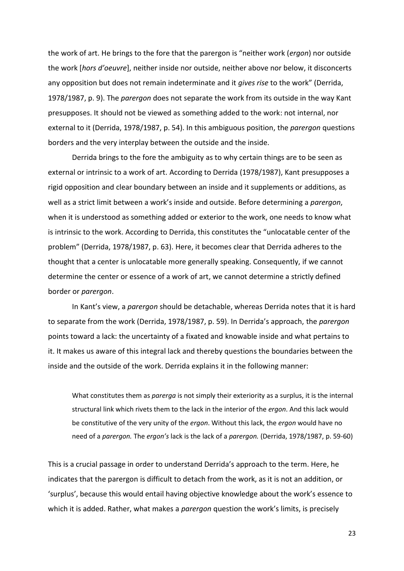the work of art. He brings to the fore that the parergon is "neither work (*ergon*) nor outside the work [*hors d'oeuvre*], neither inside nor outside, neither above nor below, it disconcerts any opposition but does not remain indeterminate and it *gives rise* to the work" (Derrida, 1978/1987, p. 9). The *parergon* does not separate the work from its outside in the way Kant presupposes. It should not be viewed as something added to the work: not internal, nor external to it (Derrida, 1978/1987, p. 54). In this ambiguous position, the *parergon* questions borders and the very interplay between the outside and the inside.

Derrida brings to the fore the ambiguity as to why certain things are to be seen as external or intrinsic to a work of art. According to Derrida (1978/1987), Kant presupposes a rigid opposition and clear boundary between an inside and it supplements or additions, as well as a strict limit between a work's inside and outside. Before determining a *parergon*, when it is understood as something added or exterior to the work, one needs to know what is intrinsic to the work. According to Derrida, this constitutes the "unlocatable center of the problem" (Derrida, 1978/1987, p. 63). Here, it becomes clear that Derrida adheres to the thought that a center is unlocatable more generally speaking. Consequently, if we cannot determine the center or essence of a work of art, we cannot determine a strictly defined border or *parergon*.

In Kant's view, a *parergon* should be detachable, whereas Derrida notes that it is hard to separate from the work (Derrida, 1978/1987, p. 59). In Derrida's approach, the *parergon* points toward a lack: the uncertainty of a fixated and knowable inside and what pertains to it. It makes us aware of this integral lack and thereby questions the boundaries between the inside and the outside of the work. Derrida explains it in the following manner:

What constitutes them as *parerga* is not simply their exteriority as a surplus, it is the internal structural link which rivets them to the lack in the interior of the *ergon*. And this lack would be constitutive of the very unity of the *ergon*. Without this lack, the *ergon* would have no need of a *parergon.* The *ergon's* lack is the lack of a *parergon.* (Derrida, 1978/1987, p. 59-60)

This is a crucial passage in order to understand Derrida's approach to the term. Here, he indicates that the parergon is difficult to detach from the work, as it is not an addition, or 'surplus', because this would entail having objective knowledge about the work's essence to which it is added. Rather, what makes a *parergon* question the work's limits, is precisely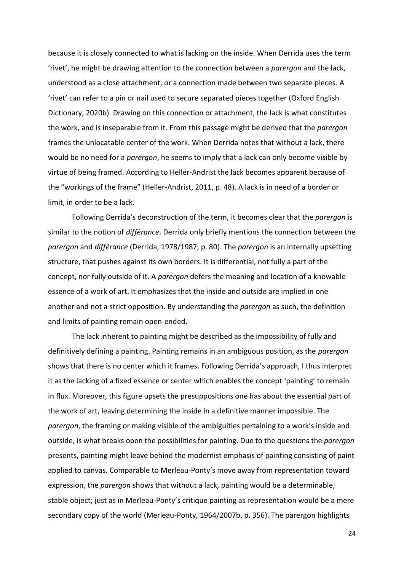because it is closely connected to what is lacking on the inside. When Derrida uses the term 'rivet', he might be drawing attention to the connection between a *parergon* and the lack, understood as a close attachment, or a connection made between two separate pieces. A 'rivet' can refer to a pin or nail used to secure separated pieces together (Oxford English Dictionary, 2020b). Drawing on this connection or attachment, the lack is what constitutes the work, and is inseparable from it. From this passage might be derived that the *parergon* frames the unlocatable center of the work. When Derrida notes that without a lack, there would be no need for a *parergon*, he seems to imply that a lack can only become visible by virtue of being framed. According to Heller-Andrist the lack becomes apparent because of the "workings of the frame" (Heller-Andrist, 2011, p. 48). A lack is in need of a border or limit, in order to be a lack.

Following Derrida's deconstruction of the term, it becomes clear that the *parergon* is similar to the notion of *différance*. Derrida only briefly mentions the connection between the *parergon* and *différance* (Derrida, 1978/1987, p. 80). The *parergon* is an internally upsetting structure, that pushes against its own borders. It is differential, not fully a part of the concept, nor fully outside of it. A *parergon* defers the meaning and location of a knowable essence of a work of art. It emphasizes that the inside and outside are implied in one another and not a strict opposition. By understanding the *parergon* as such, the definition and limits of painting remain open-ended.

The lack inherent to painting might be described as the impossibility of fully and definitively defining a painting. Painting remains in an ambiguous position, as the *parergon* shows that there is no center which it frames. Following Derrida's approach, I thus interpret it as the lacking of a fixed essence or center which enables the concept 'painting' to remain in flux. Moreover, this figure upsets the presuppositions one has about the essential part of the work of art, leaving determining the inside in a definitive manner impossible. The *parergon*, the framing or making visible of the ambiguities pertaining to a work's inside and outside, is what breaks open the possibilities for painting. Due to the questions the *parergon* presents, painting might leave behind the modernist emphasis of painting consisting of paint applied to canvas. Comparable to Merleau-Ponty's move away from representation toward expression, the *parergon* shows that without a lack, painting would be a determinable, stable object; just as in Merleau-Ponty's critique painting as representation would be a mere secondary copy of the world (Merleau-Ponty, 1964/2007b, p. 356). The parergon highlights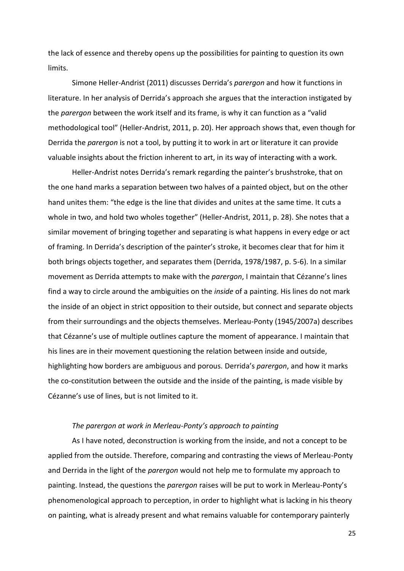the lack of essence and thereby opens up the possibilities for painting to question its own limits.

Simone Heller-Andrist (2011) discusses Derrida's *parergon* and how it functions in literature. In her analysis of Derrida's approach she argues that the interaction instigated by the *parergon* between the work itself and its frame, is why it can function as a "valid methodological tool" (Heller-Andrist, 2011, p. 20). Her approach shows that, even though for Derrida the *parergon* is not a tool, by putting it to work in art or literature it can provide valuable insights about the friction inherent to art, in its way of interacting with a work.

Heller-Andrist notes Derrida's remark regarding the painter's brushstroke, that on the one hand marks a separation between two halves of a painted object, but on the other hand unites them: "the edge is the line that divides and unites at the same time. It cuts a whole in two, and hold two wholes together" (Heller-Andrist, 2011, p. 28). She notes that a similar movement of bringing together and separating is what happens in every edge or act of framing. In Derrida's description of the painter's stroke, it becomes clear that for him it both brings objects together, and separates them (Derrida, 1978/1987, p. 5-6). In a similar movement as Derrida attempts to make with the *parergon*, I maintain that Cézanne's lines find a way to circle around the ambiguities on the *inside* of a painting. His lines do not mark the inside of an object in strict opposition to their outside, but connect and separate objects from their surroundings and the objects themselves. Merleau-Ponty (1945/2007a) describes that Cézanne's use of multiple outlines capture the moment of appearance. I maintain that his lines are in their movement questioning the relation between inside and outside, highlighting how borders are ambiguous and porous. Derrida's *parergon*, and how it marks the co-constitution between the outside and the inside of the painting, is made visible by Cézanne's use of lines, but is not limited to it.

## *The parergon at work in Merleau-Ponty's approach to painting*

As I have noted, deconstruction is working from the inside, and not a concept to be applied from the outside. Therefore, comparing and contrasting the views of Merleau-Ponty and Derrida in the light of the *parergon* would not help me to formulate my approach to painting. Instead, the questions the *parergon* raises will be put to work in Merleau-Ponty's phenomenological approach to perception, in order to highlight what is lacking in his theory on painting, what is already present and what remains valuable for contemporary painterly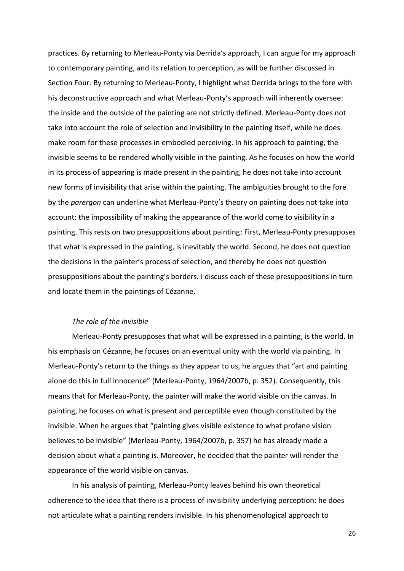practices. By returning to Merleau-Ponty via Derrida's approach, I can argue for my approach to contemporary painting, and its relation to perception, as will be further discussed in Section Four. By returning to Merleau-Ponty, I highlight what Derrida brings to the fore with his deconstructive approach and what Merleau-Ponty's approach will inherently oversee: the inside and the outside of the painting are not strictly defined. Merleau-Ponty does not take into account the role of selection and invisibility in the painting itself, while he does make room for these processes in embodied perceiving. In his approach to painting, the invisible seems to be rendered wholly visible in the painting. As he focuses on how the world in its process of appearing is made present in the painting, he does not take into account new forms of invisibility that arise within the painting. The ambiguities brought to the fore by the *parergon* can underline what Merleau-Ponty's theory on painting does not take into account: the impossibility of making the appearance of the world come to visibility in a painting. This rests on two presuppositions about painting: First, Merleau-Ponty presupposes that what is expressed in the painting, is inevitably the world. Second, he does not question the decisions in the painter's process of selection, and thereby he does not question presuppositions about the painting's borders. I discuss each of these presuppositions in turn and locate them in the paintings of Cézanne.

#### *The role of the invisible*

Merleau-Ponty presupposes that what will be expressed in a painting, is the world. In his emphasis on Cézanne, he focuses on an eventual unity with the world via painting. In Merleau-Ponty's return to the things as they appear to us, he argues that "art and painting alone do this in full innocence" (Merleau-Ponty, 1964/2007b, p. 352). Consequently, this means that for Merleau-Ponty, the painter will make the world visible on the canvas. In painting, he focuses on what is present and perceptible even though constituted by the invisible. When he argues that "painting gives visible existence to what profane vision believes to be invisible" (Merleau-Ponty, 1964/2007b, p. 357) he has already made a decision about what a painting is. Moreover, he decided that the painter will render the appearance of the world visible on canvas.

In his analysis of painting, Merleau-Ponty leaves behind his own theoretical adherence to the idea that there is a process of invisibility underlying perception: he does not articulate what a painting renders invisible. In his phenomenological approach to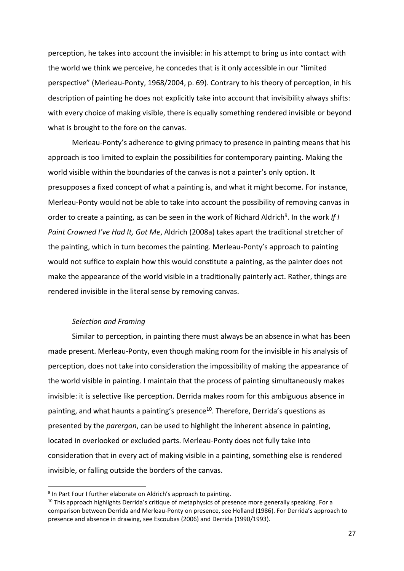perception, he takes into account the invisible: in his attempt to bring us into contact with the world we think we perceive, he concedes that is it only accessible in our "limited perspective" (Merleau-Ponty, 1968/2004, p. 69). Contrary to his theory of perception, in his description of painting he does not explicitly take into account that invisibility always shifts: with every choice of making visible, there is equally something rendered invisible or beyond what is brought to the fore on the canvas.

Merleau-Ponty's adherence to giving primacy to presence in painting means that his approach is too limited to explain the possibilities for contemporary painting. Making the world visible within the boundaries of the canvas is not a painter's only option. It presupposes a fixed concept of what a painting is, and what it might become. For instance, Merleau-Ponty would not be able to take into account the possibility of removing canvas in order to create a painting, as can be seen in the work of Richard Aldrich<sup>9</sup>. In the work If I *Paint Crowned I've Had It, Got Me*, Aldrich (2008a) takes apart the traditional stretcher of the painting, which in turn becomes the painting. Merleau-Ponty's approach to painting would not suffice to explain how this would constitute a painting, as the painter does not make the appearance of the world visible in a traditionally painterly act. Rather, things are rendered invisible in the literal sense by removing canvas.

#### *Selection and Framing*

Similar to perception, in painting there must always be an absence in what has been made present. Merleau-Ponty, even though making room for the invisible in his analysis of perception, does not take into consideration the impossibility of making the appearance of the world visible in painting. I maintain that the process of painting simultaneously makes invisible: it is selective like perception. Derrida makes room for this ambiguous absence in painting, and what haunts a painting's presence<sup>10</sup>. Therefore, Derrida's questions as presented by the *parergon*, can be used to highlight the inherent absence in painting, located in overlooked or excluded parts. Merleau-Ponty does not fully take into consideration that in every act of making visible in a painting, something else is rendered invisible, or falling outside the borders of the canvas.

<sup>&</sup>lt;sup>9</sup> In Part Four I further elaborate on Aldrich's approach to painting.

 $10$  This approach highlights Derrida's critique of metaphysics of presence more generally speaking. For a comparison between Derrida and Merleau-Ponty on presence, see Holland (1986). For Derrida's approach to presence and absence in drawing, see Escoubas (2006) and Derrida (1990/1993).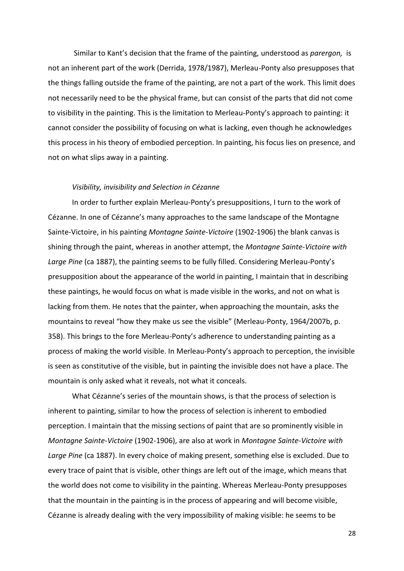Similar to Kant's decision that the frame of the painting, understood as *parergon,* is not an inherent part of the work (Derrida, 1978/1987), Merleau-Ponty also presupposes that the things falling outside the frame of the painting, are not a part of the work. This limit does not necessarily need to be the physical frame, but can consist of the parts that did not come to visibility in the painting. This is the limitation to Merleau-Ponty's approach to painting: it cannot consider the possibility of focusing on what is lacking, even though he acknowledges this process in his theory of embodied perception. In painting, his focus lies on presence, and not on what slips away in a painting.

#### *Visibility, invisibility and Selection in Cézanne*

In order to further explain Merleau-Ponty's presuppositions, I turn to the work of Cézanne. In one of Cézanne's many approaches to the same landscape of the Montagne Sainte-Victoire, in his painting *Montagne Sainte-Victoire* (1902-1906) the blank canvas is shining through the paint, whereas in another attempt, the *Montagne Sainte-Victoire with Large Pine* (ca 1887), the painting seems to be fully filled. Considering Merleau-Ponty's presupposition about the appearance of the world in painting, I maintain that in describing these paintings, he would focus on what is made visible in the works, and not on what is lacking from them. He notes that the painter, when approaching the mountain, asks the mountains to reveal "how they make us see the visible" (Merleau-Ponty, 1964/2007b, p. 358). This brings to the fore Merleau-Ponty's adherence to understanding painting as a process of making the world visible. In Merleau-Ponty's approach to perception, the invisible is seen as constitutive of the visible, but in painting the invisible does not have a place. The mountain is only asked what it reveals, not what it conceals.

What Cézanne's series of the mountain shows, is that the process of selection is inherent to painting, similar to how the process of selection is inherent to embodied perception. I maintain that the missing sections of paint that are so prominently visible in *Montagne Sainte-Victoire* (1902-1906), are also at work in *Montagne Sainte-Victoire with Large Pine* (ca 1887). In every choice of making present, something else is excluded. Due to every trace of paint that is visible, other things are left out of the image, which means that the world does not come to visibility in the painting. Whereas Merleau-Ponty presupposes that the mountain in the painting is in the process of appearing and will become visible, Cézanne is already dealing with the very impossibility of making visible: he seems to be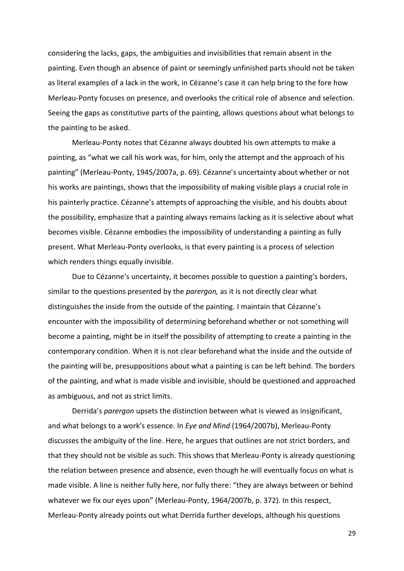considering the lacks, gaps, the ambiguities and invisibilities that remain absent in the painting. Even though an absence of paint or seemingly unfinished parts should not be taken as literal examples of a lack in the work, in Cézanne's case it can help bring to the fore how Merleau-Ponty focuses on presence, and overlooks the critical role of absence and selection. Seeing the gaps as constitutive parts of the painting, allows questions about what belongs to the painting to be asked.

Merleau-Ponty notes that Cézanne always doubted his own attempts to make a painting, as "what we call his work was, for him, only the attempt and the approach of his painting" (Merleau-Ponty, 1945/2007a, p. 69). Cézanne's uncertainty about whether or not his works are paintings, shows that the impossibility of making visible plays a crucial role in his painterly practice. Cézanne's attempts of approaching the visible, and his doubts about the possibility, emphasize that a painting always remains lacking as it is selective about what becomes visible. Cézanne embodies the impossibility of understanding a painting as fully present. What Merleau-Ponty overlooks, is that every painting is a process of selection which renders things equally invisible.

Due to Cézanne's uncertainty, it becomes possible to question a painting's borders, similar to the questions presented by the *parergon,* as it is not directly clear what distinguishes the inside from the outside of the painting. I maintain that Cézanne's encounter with the impossibility of determining beforehand whether or not something will become a painting, might be in itself the possibility of attempting to create a painting in the contemporary condition. When it is not clear beforehand what the inside and the outside of the painting will be, presuppositions about what a painting is can be left behind. The borders of the painting, and what is made visible and invisible, should be questioned and approached as ambiguous, and not as strict limits.

Derrida's *parergon* upsets the distinction between what is viewed as insignificant, and what belongs to a work's essence. In *Eye and Mind* (1964/2007b), Merleau-Ponty discusses the ambiguity of the line. Here, he argues that outlines are not strict borders, and that they should not be visible as such. This shows that Merleau-Ponty is already questioning the relation between presence and absence, even though he will eventually focus on what is made visible. A line is neither fully here, nor fully there: "they are always between or behind whatever we fix our eyes upon" (Merleau-Ponty, 1964/2007b, p. 372). In this respect, Merleau-Ponty already points out what Derrida further develops, although his questions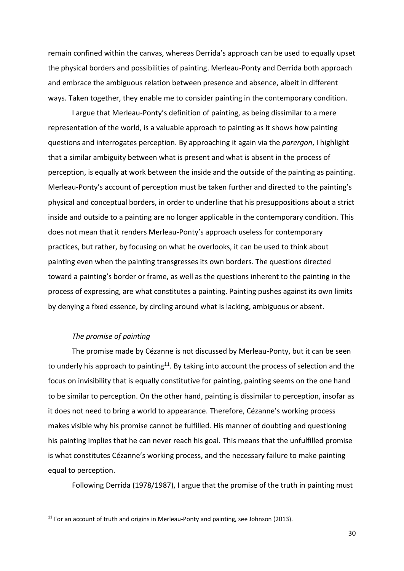remain confined within the canvas, whereas Derrida's approach can be used to equally upset the physical borders and possibilities of painting. Merleau-Ponty and Derrida both approach and embrace the ambiguous relation between presence and absence, albeit in different ways. Taken together, they enable me to consider painting in the contemporary condition.

I argue that Merleau-Ponty's definition of painting, as being dissimilar to a mere representation of the world, is a valuable approach to painting as it shows how painting questions and interrogates perception. By approaching it again via the *parergon*, I highlight that a similar ambiguity between what is present and what is absent in the process of perception, is equally at work between the inside and the outside of the painting as painting. Merleau-Ponty's account of perception must be taken further and directed to the painting's physical and conceptual borders, in order to underline that his presuppositions about a strict inside and outside to a painting are no longer applicable in the contemporary condition. This does not mean that it renders Merleau-Ponty's approach useless for contemporary practices, but rather, by focusing on what he overlooks, it can be used to think about painting even when the painting transgresses its own borders. The questions directed toward a painting's border or frame, as well as the questions inherent to the painting in the process of expressing, are what constitutes a painting. Painting pushes against its own limits by denying a fixed essence, by circling around what is lacking, ambiguous or absent.

### *The promise of painting*

The promise made by Cézanne is not discussed by Merleau-Ponty, but it can be seen to underly his approach to painting<sup>11</sup>. By taking into account the process of selection and the focus on invisibility that is equally constitutive for painting, painting seems on the one hand to be similar to perception. On the other hand, painting is dissimilar to perception, insofar as it does not need to bring a world to appearance. Therefore, Cézanne's working process makes visible why his promise cannot be fulfilled. His manner of doubting and questioning his painting implies that he can never reach his goal. This means that the unfulfilled promise is what constitutes Cézanne's working process, and the necessary failure to make painting equal to perception.

Following Derrida (1978/1987), I argue that the promise of the truth in painting must

<sup>&</sup>lt;sup>11</sup> For an account of truth and origins in Merleau-Ponty and painting, see Johnson (2013).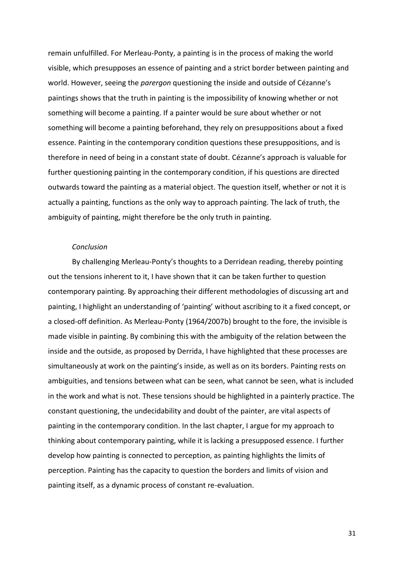remain unfulfilled. For Merleau-Ponty, a painting is in the process of making the world visible, which presupposes an essence of painting and a strict border between painting and world. However, seeing the *parergon* questioning the inside and outside of Cézanne's paintings shows that the truth in painting is the impossibility of knowing whether or not something will become a painting. If a painter would be sure about whether or not something will become a painting beforehand, they rely on presuppositions about a fixed essence. Painting in the contemporary condition questions these presuppositions, and is therefore in need of being in a constant state of doubt. Cézanne's approach is valuable for further questioning painting in the contemporary condition, if his questions are directed outwards toward the painting as a material object. The question itself, whether or not it is actually a painting, functions as the only way to approach painting. The lack of truth, the ambiguity of painting, might therefore be the only truth in painting.

#### *Conclusion*

By challenging Merleau-Ponty's thoughts to a Derridean reading, thereby pointing out the tensions inherent to it, I have shown that it can be taken further to question contemporary painting. By approaching their different methodologies of discussing art and painting, I highlight an understanding of 'painting' without ascribing to it a fixed concept, or a closed-off definition. As Merleau-Ponty (1964/2007b) brought to the fore, the invisible is made visible in painting. By combining this with the ambiguity of the relation between the inside and the outside, as proposed by Derrida, I have highlighted that these processes are simultaneously at work on the painting's inside, as well as on its borders. Painting rests on ambiguities, and tensions between what can be seen, what cannot be seen, what is included in the work and what is not. These tensions should be highlighted in a painterly practice. The constant questioning, the undecidability and doubt of the painter, are vital aspects of painting in the contemporary condition. In the last chapter, I argue for my approach to thinking about contemporary painting, while it is lacking a presupposed essence. I further develop how painting is connected to perception, as painting highlights the limits of perception. Painting has the capacity to question the borders and limits of vision and painting itself, as a dynamic process of constant re-evaluation.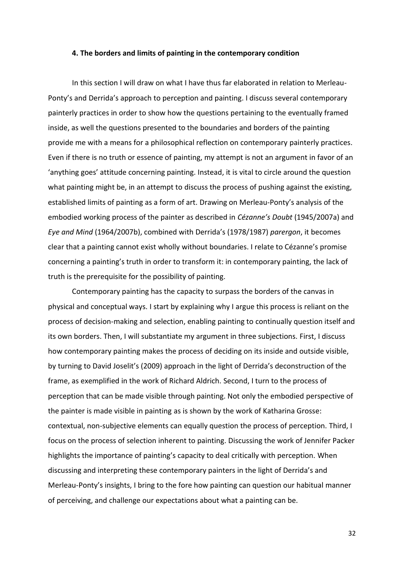#### **4. The borders and limits of painting in the contemporary condition**

In this section I will draw on what I have thus far elaborated in relation to Merleau-Ponty's and Derrida's approach to perception and painting. I discuss several contemporary painterly practices in order to show how the questions pertaining to the eventually framed inside, as well the questions presented to the boundaries and borders of the painting provide me with a means for a philosophical reflection on contemporary painterly practices. Even if there is no truth or essence of painting, my attempt is not an argument in favor of an 'anything goes' attitude concerning painting. Instead, it is vital to circle around the question what painting might be, in an attempt to discuss the process of pushing against the existing, established limits of painting as a form of art. Drawing on Merleau-Ponty's analysis of the embodied working process of the painter as described in *Cézanne's Doubt* (1945/2007a) and *Eye and Mind* (1964/2007b), combined with Derrida's (1978/1987) *parergon*, it becomes clear that a painting cannot exist wholly without boundaries. I relate to Cézanne's promise concerning a painting's truth in order to transform it: in contemporary painting, the lack of truth is the prerequisite for the possibility of painting.

Contemporary painting has the capacity to surpass the borders of the canvas in physical and conceptual ways. I start by explaining why I argue this process is reliant on the process of decision-making and selection, enabling painting to continually question itself and its own borders. Then, I will substantiate my argument in three subjections. First, I discuss how contemporary painting makes the process of deciding on its inside and outside visible, by turning to David Joselit's (2009) approach in the light of Derrida's deconstruction of the frame, as exemplified in the work of Richard Aldrich. Second, I turn to the process of perception that can be made visible through painting. Not only the embodied perspective of the painter is made visible in painting as is shown by the work of Katharina Grosse: contextual, non-subjective elements can equally question the process of perception. Third, I focus on the process of selection inherent to painting. Discussing the work of Jennifer Packer highlights the importance of painting's capacity to deal critically with perception. When discussing and interpreting these contemporary painters in the light of Derrida's and Merleau-Ponty's insights, I bring to the fore how painting can question our habitual manner of perceiving, and challenge our expectations about what a painting can be.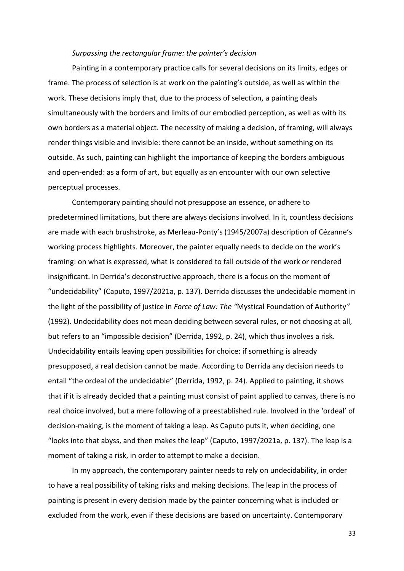#### *Surpassing the rectangular frame: the painter's decision*

Painting in a contemporary practice calls for several decisions on its limits, edges or frame. The process of selection is at work on the painting's outside, as well as within the work. These decisions imply that, due to the process of selection, a painting deals simultaneously with the borders and limits of our embodied perception, as well as with its own borders as a material object. The necessity of making a decision, of framing, will always render things visible and invisible: there cannot be an inside, without something on its outside. As such, painting can highlight the importance of keeping the borders ambiguous and open-ended: as a form of art, but equally as an encounter with our own selective perceptual processes.

Contemporary painting should not presuppose an essence, or adhere to predetermined limitations, but there are always decisions involved. In it, countless decisions are made with each brushstroke, as Merleau-Ponty's (1945/2007a) description of Cézanne's working process highlights. Moreover, the painter equally needs to decide on the work's framing: on what is expressed, what is considered to fall outside of the work or rendered insignificant. In Derrida's deconstructive approach, there is a focus on the moment of "undecidability" (Caputo, 1997/2021a, p. 137). Derrida discusses the undecidable moment in the light of the possibility of justice in *Force of Law: The "*Mystical Foundation of Authority*"* (1992). Undecidability does not mean deciding between several rules, or not choosing at all, but refers to an "impossible decision" (Derrida, 1992, p. 24), which thus involves a risk. Undecidability entails leaving open possibilities for choice: if something is already presupposed, a real decision cannot be made. According to Derrida any decision needs to entail "the ordeal of the undecidable" (Derrida, 1992, p. 24). Applied to painting, it shows that if it is already decided that a painting must consist of paint applied to canvas, there is no real choice involved, but a mere following of a preestablished rule. Involved in the 'ordeal' of decision-making, is the moment of taking a leap. As Caputo puts it, when deciding, one "looks into that abyss, and then makes the leap" (Caputo, 1997/2021a, p. 137). The leap is a moment of taking a risk, in order to attempt to make a decision.

In my approach, the contemporary painter needs to rely on undecidability, in order to have a real possibility of taking risks and making decisions. The leap in the process of painting is present in every decision made by the painter concerning what is included or excluded from the work, even if these decisions are based on uncertainty. Contemporary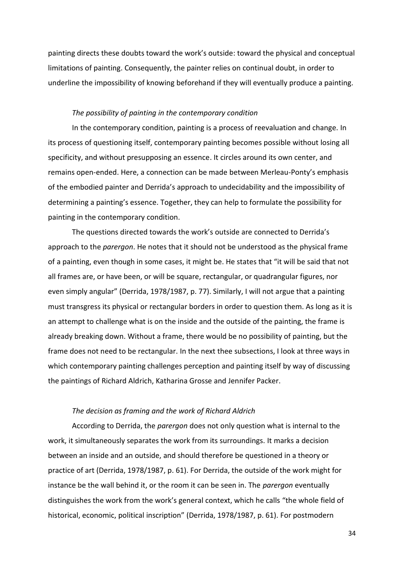painting directs these doubts toward the work's outside: toward the physical and conceptual limitations of painting. Consequently, the painter relies on continual doubt, in order to underline the impossibility of knowing beforehand if they will eventually produce a painting.

#### *The possibility of painting in the contemporary condition*

In the contemporary condition, painting is a process of reevaluation and change. In its process of questioning itself, contemporary painting becomes possible without losing all specificity, and without presupposing an essence. It circles around its own center, and remains open-ended. Here, a connection can be made between Merleau-Ponty's emphasis of the embodied painter and Derrida's approach to undecidability and the impossibility of determining a painting's essence. Together, they can help to formulate the possibility for painting in the contemporary condition.

The questions directed towards the work's outside are connected to Derrida's approach to the *parergon*. He notes that it should not be understood as the physical frame of a painting, even though in some cases, it might be. He states that "it will be said that not all frames are, or have been, or will be square, rectangular, or quadrangular figures, nor even simply angular" (Derrida, 1978/1987, p. 77). Similarly, I will not argue that a painting must transgress its physical or rectangular borders in order to question them. As long as it is an attempt to challenge what is on the inside and the outside of the painting, the frame is already breaking down. Without a frame, there would be no possibility of painting, but the frame does not need to be rectangular. In the next thee subsections, I look at three ways in which contemporary painting challenges perception and painting itself by way of discussing the paintings of Richard Aldrich, Katharina Grosse and Jennifer Packer.

#### *The decision as framing and the work of Richard Aldrich*

According to Derrida, the *parergon* does not only question what is internal to the work, it simultaneously separates the work from its surroundings. It marks a decision between an inside and an outside, and should therefore be questioned in a theory or practice of art (Derrida, 1978/1987, p. 61). For Derrida, the outside of the work might for instance be the wall behind it, or the room it can be seen in. The *parergon* eventually distinguishes the work from the work's general context, which he calls "the whole field of historical, economic, political inscription" (Derrida, 1978/1987, p. 61). For postmodern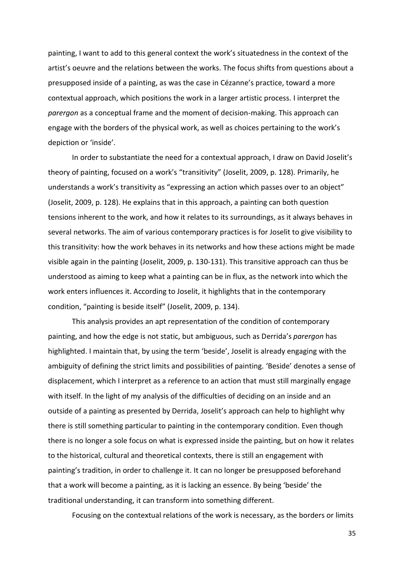painting, I want to add to this general context the work's situatedness in the context of the artist's oeuvre and the relations between the works. The focus shifts from questions about a presupposed inside of a painting, as was the case in Cézanne's practice, toward a more contextual approach, which positions the work in a larger artistic process. I interpret the *parergon* as a conceptual frame and the moment of decision-making. This approach can engage with the borders of the physical work, as well as choices pertaining to the work's depiction or 'inside'.

In order to substantiate the need for a contextual approach, I draw on David Joselit's theory of painting, focused on a work's "transitivity" (Joselit, 2009, p. 128). Primarily, he understands a work's transitivity as "expressing an action which passes over to an object" (Joselit, 2009, p. 128). He explains that in this approach, a painting can both question tensions inherent to the work, and how it relates to its surroundings, as it always behaves in several networks. The aim of various contemporary practices is for Joselit to give visibility to this transitivity: how the work behaves in its networks and how these actions might be made visible again in the painting (Joselit, 2009, p. 130-131). This transitive approach can thus be understood as aiming to keep what a painting can be in flux, as the network into which the work enters influences it. According to Joselit, it highlights that in the contemporary condition, "painting is beside itself" (Joselit, 2009, p. 134).

This analysis provides an apt representation of the condition of contemporary painting, and how the edge is not static, but ambiguous, such as Derrida's *parergon* has highlighted. I maintain that, by using the term 'beside', Joselit is already engaging with the ambiguity of defining the strict limits and possibilities of painting. 'Beside' denotes a sense of displacement, which I interpret as a reference to an action that must still marginally engage with itself. In the light of my analysis of the difficulties of deciding on an inside and an outside of a painting as presented by Derrida, Joselit's approach can help to highlight why there is still something particular to painting in the contemporary condition. Even though there is no longer a sole focus on what is expressed inside the painting, but on how it relates to the historical, cultural and theoretical contexts, there is still an engagement with painting's tradition, in order to challenge it. It can no longer be presupposed beforehand that a work will become a painting, as it is lacking an essence. By being 'beside' the traditional understanding, it can transform into something different.

Focusing on the contextual relations of the work is necessary, as the borders or limits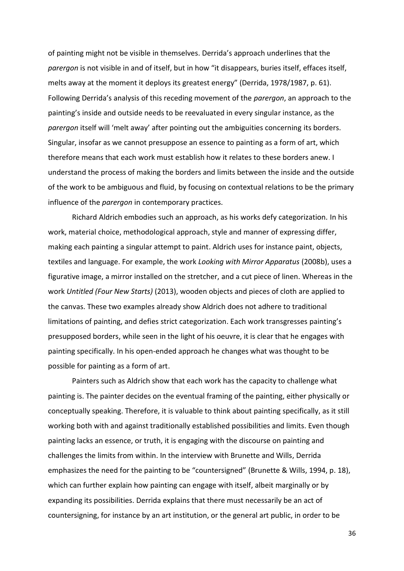of painting might not be visible in themselves. Derrida's approach underlines that the *parergon* is not visible in and of itself, but in how "it disappears, buries itself, effaces itself, melts away at the moment it deploys its greatest energy" (Derrida, 1978/1987, p. 61). Following Derrida's analysis of this receding movement of the *parergon*, an approach to the painting's inside and outside needs to be reevaluated in every singular instance, as the *parergon* itself will 'melt away' after pointing out the ambiguities concerning its borders. Singular, insofar as we cannot presuppose an essence to painting as a form of art, which therefore means that each work must establish how it relates to these borders anew. I understand the process of making the borders and limits between the inside and the outside of the work to be ambiguous and fluid, by focusing on contextual relations to be the primary influence of the *parergon* in contemporary practices.

Richard Aldrich embodies such an approach, as his works defy categorization. In his work, material choice, methodological approach, style and manner of expressing differ, making each painting a singular attempt to paint. Aldrich uses for instance paint, objects, textiles and language. For example, the work *Looking with Mirror Apparatus* (2008b), uses a figurative image, a mirror installed on the stretcher, and a cut piece of linen. Whereas in the work *Untitled (Four New Starts)* (2013), wooden objects and pieces of cloth are applied to the canvas. These two examples already show Aldrich does not adhere to traditional limitations of painting, and defies strict categorization. Each work transgresses painting's presupposed borders, while seen in the light of his oeuvre, it is clear that he engages with painting specifically. In his open-ended approach he changes what was thought to be possible for painting as a form of art.

Painters such as Aldrich show that each work has the capacity to challenge what painting is. The painter decides on the eventual framing of the painting, either physically or conceptually speaking. Therefore, it is valuable to think about painting specifically, as it still working both with and against traditionally established possibilities and limits. Even though painting lacks an essence, or truth, it is engaging with the discourse on painting and challenges the limits from within. In the interview with Brunette and Wills, Derrida emphasizes the need for the painting to be "countersigned" (Brunette & Wills, 1994, p. 18), which can further explain how painting can engage with itself, albeit marginally or by expanding its possibilities. Derrida explains that there must necessarily be an act of countersigning, for instance by an art institution, or the general art public, in order to be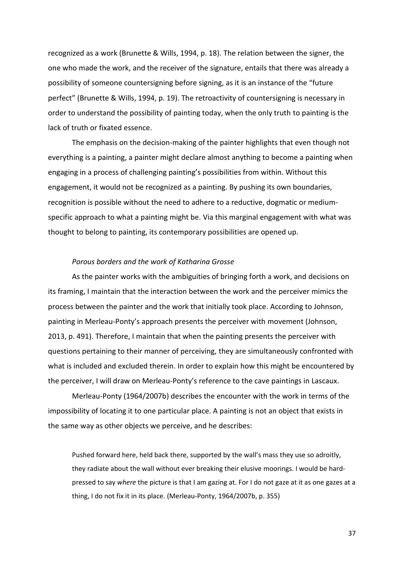recognized as a work (Brunette & Wills, 1994, p. 18). The relation between the signer, the one who made the work, and the receiver of the signature, entails that there was already a possibility of someone countersigning before signing, as it is an instance of the "future perfect" (Brunette & Wills, 1994, p. 19). The retroactivity of countersigning is necessary in order to understand the possibility of painting today, when the only truth to painting is the lack of truth or fixated essence.

The emphasis on the decision-making of the painter highlights that even though not everything is a painting, a painter might declare almost anything to become a painting when engaging in a process of challenging painting's possibilities from within. Without this engagement, it would not be recognized as a painting. By pushing its own boundaries, recognition is possible without the need to adhere to a reductive, dogmatic or mediumspecific approach to what a painting might be. Via this marginal engagement with what was thought to belong to painting, its contemporary possibilities are opened up.

#### *Porous borders and the work of Katharina Grosse*

As the painter works with the ambiguities of bringing forth a work, and decisions on its framing, I maintain that the interaction between the work and the perceiver mimics the process between the painter and the work that initially took place. According to Johnson, painting in Merleau-Ponty's approach presents the perceiver with movement (Johnson, 2013, p. 491). Therefore, I maintain that when the painting presents the perceiver with questions pertaining to their manner of perceiving, they are simultaneously confronted with what is included and excluded therein. In order to explain how this might be encountered by the perceiver, I will draw on Merleau-Ponty's reference to the cave paintings in Lascaux.

Merleau-Ponty (1964/2007b) describes the encounter with the work in terms of the impossibility of locating it to one particular place. A painting is not an object that exists in the same way as other objects we perceive, and he describes:

Pushed forward here, held back there, supported by the wall's mass they use so adroitly, they radiate about the wall without ever breaking their elusive moorings. I would be hardpressed to say *where* the picture is that I am gazing at. For I do not gaze at it as one gazes at a thing, I do not fix it in its place. (Merleau-Ponty, 1964/2007b, p. 355)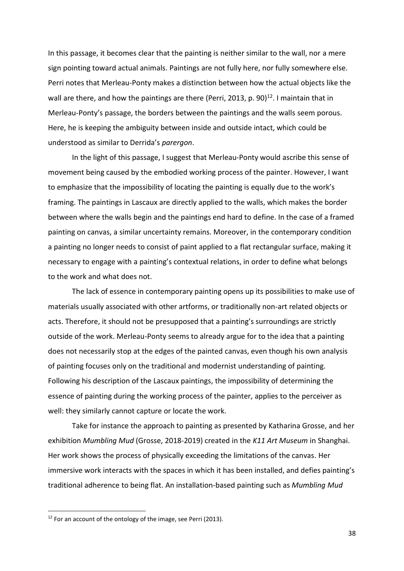In this passage, it becomes clear that the painting is neither similar to the wall, nor a mere sign pointing toward actual animals. Paintings are not fully here, nor fully somewhere else. Perri notes that Merleau-Ponty makes a distinction between how the actual objects like the wall are there, and how the paintings are there (Perri, 2013, p. 90) $^{12}$ . I maintain that in Merleau-Ponty's passage, the borders between the paintings and the walls seem porous. Here, he is keeping the ambiguity between inside and outside intact, which could be understood as similar to Derrida's *parergon*.

In the light of this passage, I suggest that Merleau-Ponty would ascribe this sense of movement being caused by the embodied working process of the painter. However, I want to emphasize that the impossibility of locating the painting is equally due to the work's framing. The paintings in Lascaux are directly applied to the walls, which makes the border between where the walls begin and the paintings end hard to define. In the case of a framed painting on canvas, a similar uncertainty remains. Moreover, in the contemporary condition a painting no longer needs to consist of paint applied to a flat rectangular surface, making it necessary to engage with a painting's contextual relations, in order to define what belongs to the work and what does not.

The lack of essence in contemporary painting opens up its possibilities to make use of materials usually associated with other artforms, or traditionally non-art related objects or acts. Therefore, it should not be presupposed that a painting's surroundings are strictly outside of the work. Merleau-Ponty seems to already argue for to the idea that a painting does not necessarily stop at the edges of the painted canvas, even though his own analysis of painting focuses only on the traditional and modernist understanding of painting. Following his description of the Lascaux paintings, the impossibility of determining the essence of painting during the working process of the painter, applies to the perceiver as well: they similarly cannot capture or locate the work.

Take for instance the approach to painting as presented by Katharina Grosse, and her exhibition *Mumbling Mud* (Grosse, 2018-2019) created in the *K11 Art Museum* in Shanghai. Her work shows the process of physically exceeding the limitations of the canvas. Her immersive work interacts with the spaces in which it has been installed, and defies painting's traditional adherence to being flat. An installation-based painting such as *Mumbling Mud*

<sup>&</sup>lt;sup>12</sup> For an account of the ontology of the image, see Perri (2013).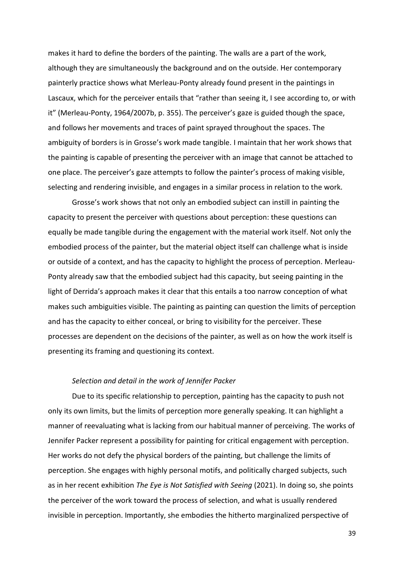makes it hard to define the borders of the painting. The walls are a part of the work, although they are simultaneously the background and on the outside. Her contemporary painterly practice shows what Merleau-Ponty already found present in the paintings in Lascaux, which for the perceiver entails that "rather than seeing it, I see according to, or with it" (Merleau-Ponty, 1964/2007b, p. 355). The perceiver's gaze is guided though the space, and follows her movements and traces of paint sprayed throughout the spaces. The ambiguity of borders is in Grosse's work made tangible. I maintain that her work shows that the painting is capable of presenting the perceiver with an image that cannot be attached to one place. The perceiver's gaze attempts to follow the painter's process of making visible, selecting and rendering invisible, and engages in a similar process in relation to the work.

Grosse's work shows that not only an embodied subject can instill in painting the capacity to present the perceiver with questions about perception: these questions can equally be made tangible during the engagement with the material work itself. Not only the embodied process of the painter, but the material object itself can challenge what is inside or outside of a context, and has the capacity to highlight the process of perception. Merleau-Ponty already saw that the embodied subject had this capacity, but seeing painting in the light of Derrida's approach makes it clear that this entails a too narrow conception of what makes such ambiguities visible. The painting as painting can question the limits of perception and has the capacity to either conceal, or bring to visibility for the perceiver. These processes are dependent on the decisions of the painter, as well as on how the work itself is presenting its framing and questioning its context.

### *Selection and detail in the work of Jennifer Packer*

Due to its specific relationship to perception, painting has the capacity to push not only its own limits, but the limits of perception more generally speaking. It can highlight a manner of reevaluating what is lacking from our habitual manner of perceiving. The works of Jennifer Packer represent a possibility for painting for critical engagement with perception. Her works do not defy the physical borders of the painting, but challenge the limits of perception. She engages with highly personal motifs, and politically charged subjects, such as in her recent exhibition *The Eye is Not Satisfied with Seeing* (2021). In doing so, she points the perceiver of the work toward the process of selection, and what is usually rendered invisible in perception. Importantly, she embodies the hitherto marginalized perspective of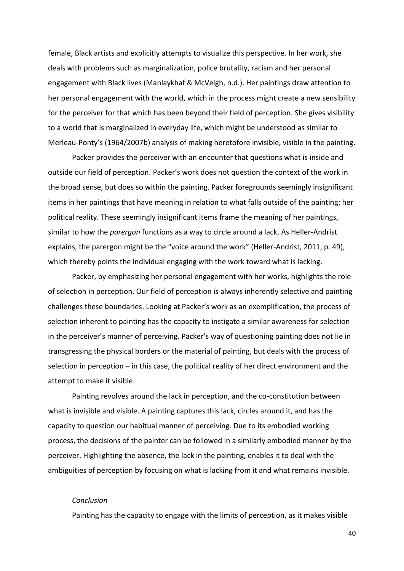female, Black artists and explicitly attempts to visualize this perspective. In her work, she deals with problems such as marginalization, police brutality, racism and her personal engagement with Black lives (Manlaykhaf & McVeigh, n.d.). Her paintings draw attention to her personal engagement with the world, which in the process might create a new sensibility for the perceiver for that which has been beyond their field of perception. She gives visibility to a world that is marginalized in everyday life, which might be understood as similar to Merleau-Ponty's (1964/2007b) analysis of making heretofore invisible, visible in the painting.

Packer provides the perceiver with an encounter that questions what is inside and outside our field of perception. Packer's work does not question the context of the work in the broad sense, but does so within the painting. Packer foregrounds seemingly insignificant items in her paintings that have meaning in relation to what falls outside of the painting: her political reality. These seemingly insignificant items frame the meaning of her paintings, similar to how the *parergon* functions as a way to circle around a lack. As Heller-Andrist explains, the parergon might be the "voice around the work" (Heller-Andrist, 2011, p. 49), which thereby points the individual engaging with the work toward what is lacking.

Packer, by emphasizing her personal engagement with her works, highlights the role of selection in perception. Our field of perception is always inherently selective and painting challenges these boundaries. Looking at Packer's work as an exemplification, the process of selection inherent to painting has the capacity to instigate a similar awareness for selection in the perceiver's manner of perceiving. Packer's way of questioning painting does not lie in transgressing the physical borders or the material of painting, but deals with the process of selection in perception – in this case, the political reality of her direct environment and the attempt to make it visible.

Painting revolves around the lack in perception, and the co-constitution between what is invisible and visible. A painting captures this lack, circles around it, and has the capacity to question our habitual manner of perceiving. Due to its embodied working process, the decisions of the painter can be followed in a similarly embodied manner by the perceiver. Highlighting the absence, the lack in the painting, enables it to deal with the ambiguities of perception by focusing on what is lacking from it and what remains invisible.

#### *Conclusion*

Painting has the capacity to engage with the limits of perception, as it makes visible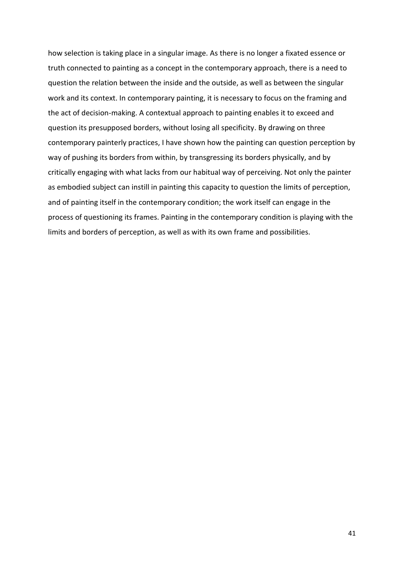how selection is taking place in a singular image. As there is no longer a fixated essence or truth connected to painting as a concept in the contemporary approach, there is a need to question the relation between the inside and the outside, as well as between the singular work and its context. In contemporary painting, it is necessary to focus on the framing and the act of decision-making. A contextual approach to painting enables it to exceed and question its presupposed borders, without losing all specificity. By drawing on three contemporary painterly practices, I have shown how the painting can question perception by way of pushing its borders from within, by transgressing its borders physically, and by critically engaging with what lacks from our habitual way of perceiving. Not only the painter as embodied subject can instill in painting this capacity to question the limits of perception, and of painting itself in the contemporary condition; the work itself can engage in the process of questioning its frames. Painting in the contemporary condition is playing with the limits and borders of perception, as well as with its own frame and possibilities.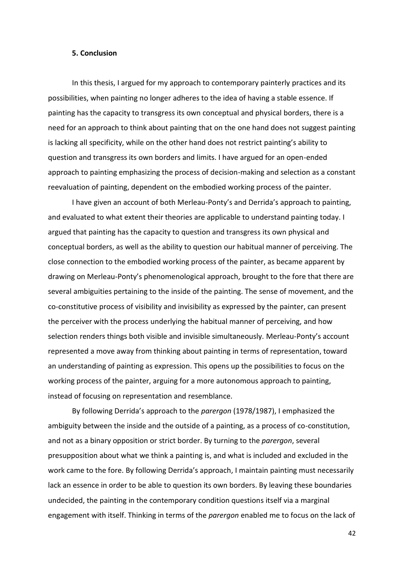#### **5. Conclusion**

In this thesis, I argued for my approach to contemporary painterly practices and its possibilities, when painting no longer adheres to the idea of having a stable essence. If painting has the capacity to transgress its own conceptual and physical borders, there is a need for an approach to think about painting that on the one hand does not suggest painting is lacking all specificity, while on the other hand does not restrict painting's ability to question and transgress its own borders and limits. I have argued for an open-ended approach to painting emphasizing the process of decision-making and selection as a constant reevaluation of painting, dependent on the embodied working process of the painter.

I have given an account of both Merleau-Ponty's and Derrida's approach to painting, and evaluated to what extent their theories are applicable to understand painting today. I argued that painting has the capacity to question and transgress its own physical and conceptual borders, as well as the ability to question our habitual manner of perceiving. The close connection to the embodied working process of the painter, as became apparent by drawing on Merleau-Ponty's phenomenological approach, brought to the fore that there are several ambiguities pertaining to the inside of the painting. The sense of movement, and the co-constitutive process of visibility and invisibility as expressed by the painter, can present the perceiver with the process underlying the habitual manner of perceiving, and how selection renders things both visible and invisible simultaneously. Merleau-Ponty's account represented a move away from thinking about painting in terms of representation, toward an understanding of painting as expression. This opens up the possibilities to focus on the working process of the painter, arguing for a more autonomous approach to painting, instead of focusing on representation and resemblance.

By following Derrida's approach to the *parergon* (1978/1987), I emphasized the ambiguity between the inside and the outside of a painting, as a process of co-constitution, and not as a binary opposition or strict border. By turning to the *parergon*, several presupposition about what we think a painting is, and what is included and excluded in the work came to the fore. By following Derrida's approach, I maintain painting must necessarily lack an essence in order to be able to question its own borders. By leaving these boundaries undecided, the painting in the contemporary condition questions itself via a marginal engagement with itself. Thinking in terms of the *parergon* enabled me to focus on the lack of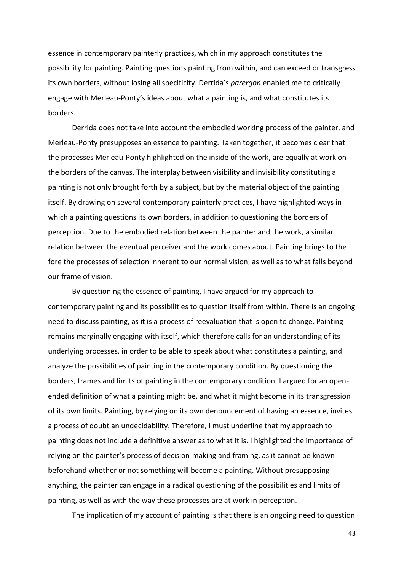essence in contemporary painterly practices, which in my approach constitutes the possibility for painting. Painting questions painting from within, and can exceed or transgress its own borders, without losing all specificity. Derrida's *parergon* enabled me to critically engage with Merleau-Ponty's ideas about what a painting is, and what constitutes its borders.

Derrida does not take into account the embodied working process of the painter, and Merleau-Ponty presupposes an essence to painting. Taken together, it becomes clear that the processes Merleau-Ponty highlighted on the inside of the work, are equally at work on the borders of the canvas. The interplay between visibility and invisibility constituting a painting is not only brought forth by a subject, but by the material object of the painting itself. By drawing on several contemporary painterly practices, I have highlighted ways in which a painting questions its own borders, in addition to questioning the borders of perception. Due to the embodied relation between the painter and the work, a similar relation between the eventual perceiver and the work comes about. Painting brings to the fore the processes of selection inherent to our normal vision, as well as to what falls beyond our frame of vision.

By questioning the essence of painting, I have argued for my approach to contemporary painting and its possibilities to question itself from within. There is an ongoing need to discuss painting, as it is a process of reevaluation that is open to change. Painting remains marginally engaging with itself, which therefore calls for an understanding of its underlying processes, in order to be able to speak about what constitutes a painting, and analyze the possibilities of painting in the contemporary condition. By questioning the borders, frames and limits of painting in the contemporary condition, I argued for an openended definition of what a painting might be, and what it might become in its transgression of its own limits. Painting, by relying on its own denouncement of having an essence, invites a process of doubt an undecidability. Therefore, I must underline that my approach to painting does not include a definitive answer as to what it is. I highlighted the importance of relying on the painter's process of decision-making and framing, as it cannot be known beforehand whether or not something will become a painting. Without presupposing anything, the painter can engage in a radical questioning of the possibilities and limits of painting, as well as with the way these processes are at work in perception.

The implication of my account of painting is that there is an ongoing need to question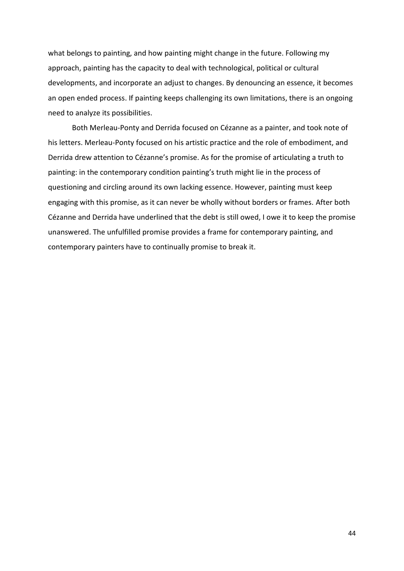what belongs to painting, and how painting might change in the future. Following my approach, painting has the capacity to deal with technological, political or cultural developments, and incorporate an adjust to changes. By denouncing an essence, it becomes an open ended process. If painting keeps challenging its own limitations, there is an ongoing need to analyze its possibilities.

Both Merleau-Ponty and Derrida focused on Cézanne as a painter, and took note of his letters. Merleau-Ponty focused on his artistic practice and the role of embodiment, and Derrida drew attention to Cézanne's promise. As for the promise of articulating a truth to painting: in the contemporary condition painting's truth might lie in the process of questioning and circling around its own lacking essence. However, painting must keep engaging with this promise, as it can never be wholly without borders or frames. After both Cézanne and Derrida have underlined that the debt is still owed, I owe it to keep the promise unanswered. The unfulfilled promise provides a frame for contemporary painting, and contemporary painters have to continually promise to break it.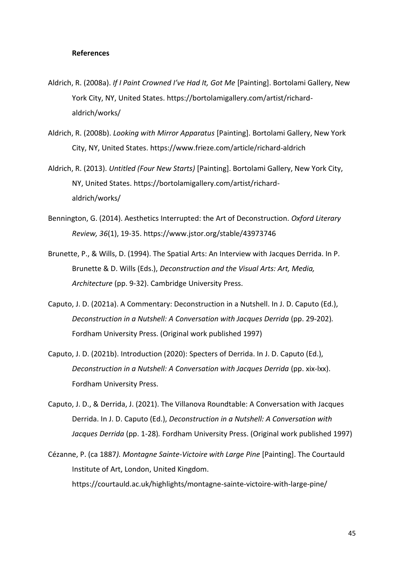#### **References**

- Aldrich, R. (2008a). *If I Paint Crowned I've Had It, Got Me* [Painting]. Bortolami Gallery, New York City, NY, United States. https://bortolamigallery.com/artist/richardaldrich/works/
- Aldrich, R. (2008b). *Looking with Mirror Apparatus* [Painting]. Bortolami Gallery, New York City, NY, United States. <https://www.frieze.com/article/richard-aldrich>
- Aldrich, R. (2013). *Untitled (Four New Starts)* [Painting]. Bortolami Gallery, New York City, NY, United States. https://bortolamigallery.com/artist/richardaldrich/works/
- Bennington, G. (2014). Aesthetics Interrupted: the Art of Deconstruction. *Oxford Literary Review, 36*(1), 19-35.<https://www.jstor.org/stable/43973746>
- Brunette, P., & Wills, D. (1994). The Spatial Arts: An Interview with Jacques Derrida. In P. Brunette & D. Wills (Eds.), *Deconstruction and the Visual Arts: Art, Media, Architecture* (pp. 9-32). Cambridge University Press.
- Caputo, J. D. (2021a). A Commentary: Deconstruction in a Nutshell. In J. D. Caputo (Ed.), *Deconstruction in a Nutshell: A Conversation with Jacques Derrida (pp. 29-202).* Fordham University Press. (Original work published 1997)
- Caputo, J. D. (2021b). Introduction (2020): Specters of Derrida. In J. D. Caputo (Ed.), *Deconstruction in a Nutshell: A Conversation with Jacques Derrida (pp. xix-lxx).* Fordham University Press.
- Caputo, J. D., & Derrida, J. (2021). The Villanova Roundtable: A Conversation with Jacques Derrida. In J. D. Caputo (Ed.), *Deconstruction in a Nutshell: A Conversation with Jacques Derrida* (pp. 1-28)*.* Fordham University Press. (Original work published 1997)
- Cézanne, P. (ca 1887*). Montagne Sainte-Victoire with Large Pine* [Painting]. The Courtauld Institute of Art, London, United Kingdom. https://courtauld.ac.uk/highlights/montagne-sainte-victoire-with-large-pine/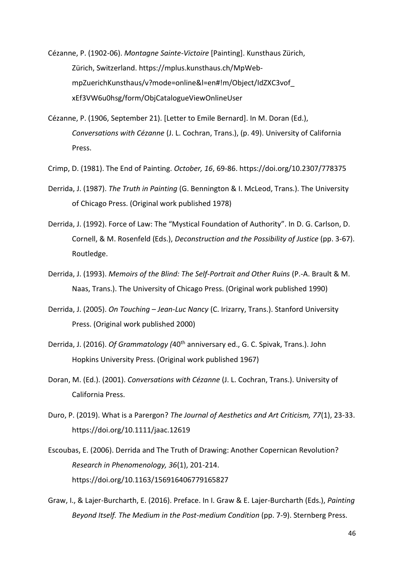Cézanne, P. (1902-06). *Montagne Sainte-Victoire* [Painting]. Kunsthaus Zürich, Zürich, Switzerland. https://mplus.kunsthaus.ch/MpWebmpZuerichKunsthaus/v?mode=online&l=en#!m/Object/IdZXC3vof\_ xEf3VW6u0hsg/form/ObjCatalogueViewOnlineUser

- Cézanne, P. (1906, September 21). [Letter to Emile Bernard]. In M. Doran (Ed.), *Conversations with Cézanne* (J. L. Cochran, Trans.), (p. 49). University of California Press.
- Crimp, D. (1981). The End of Painting. *October, 16*, 69-86.<https://doi.org/10.2307/778375>
- Derrida, J. (1987). *The Truth in Painting* (G. Bennington & I. McLeod, Trans.). The University of Chicago Press. (Original work published 1978)
- Derrida, J. (1992). Force of Law: The "Mystical Foundation of Authority". In D. G. Carlson, D. Cornell, & M. Rosenfeld (Eds.), *Deconstruction and the Possibility of Justice* (pp. 3-67). Routledge.
- Derrida, J. (1993). *Memoirs of the Blind: The Self-Portrait and Other Ruins* (P.-A. Brault & M. Naas, Trans.). The University of Chicago Press. (Original work published 1990)
- Derrida, J. (2005). *On Touching – Jean-Luc Nancy* (C. Irizarry, Trans.). Stanford University Press. (Original work published 2000)
- Derrida, J. (2016). *Of Grammatology (*40th anniversary ed., G. C. Spivak, Trans.). John Hopkins University Press. (Original work published 1967)
- Doran, M. (Ed.). (2001). *Conversations with Cézanne* (J. L. Cochran, Trans.). University of California Press.
- Duro, P. (2019). What is a Parergon? *The Journal of Aesthetics and Art Criticism, 77*(1), 23-33. <https://doi.org/10.1111/jaac.12619>
- Escoubas, E. (2006). Derrida and The Truth of Drawing: Another Copernican Revolution? *Research in Phenomenology, 36*(1), 201-214. <https://doi.org/10.1163/156916406779165827>
- Graw, I., & Lajer-Burcharth, E. (2016). Preface. In I. Graw & E. Lajer-Burcharth (Eds.), *Painting Beyond Itself. The Medium in the Post-medium Condition* (pp. 7-9). Sternberg Press.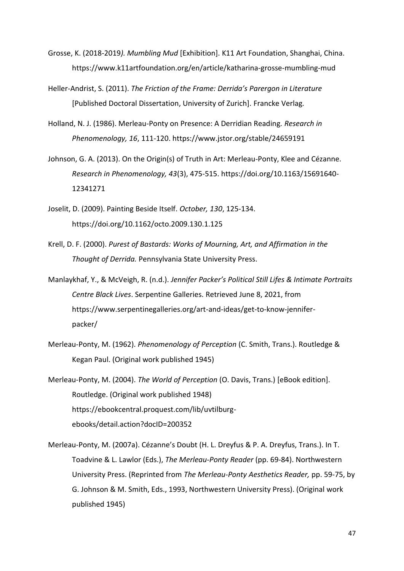- Grosse, K. (2018-2019*). Mumbling Mud* [Exhibition]. K11 Art Foundation, Shanghai, China. <https://www.k11artfoundation.org/en/article/katharina-grosse-mumbling-mud>
- Heller-Andrist, S. (2011). *The Friction of the Frame: Derrida's Parergon in Literature*  [Published Doctoral Dissertation, University of Zurich]. Francke Verlag*.*
- Holland, N. J. (1986). Merleau-Ponty on Presence: A Derridian Reading*. Research in Phenomenology, 16*, 111-120.<https://www.jstor.org/stable/24659191>
- Johnson, G. A. (2013). On the Origin(s) of Truth in Art: Merleau-Ponty, Klee and Cézanne. *Research in Phenomenology, 43*(3), 475-515. [https://doi.org/10.1163/15691640-](https://doi.org/10.1163/15691640-%20%0912341271) [12341271](https://doi.org/10.1163/15691640-%20%0912341271)
- Joselit, D. (2009). Painting Beside Itself. *October, 130*, 125-134. <https://doi.org/10.1162/octo.2009.130.1.125>
- Krell, D. F. (2000). *Purest of Bastards: Works of Mourning, Art, and Affirmation in the Thought of Derrida.* Pennsylvania State University Press.
- Manlaykhaf, Y., & McVeigh, R. (n.d.). *Jennifer Packer's Political Still Lifes & Intimate Portraits Centre Black Lives*. Serpentine Galleries. Retrieved June 8, 2021, from [https://www.serpentinegalleries.org/art-and-ideas/get-to-know-jennifer](https://www.serpentinegalleries.org/art-and-ideas/get-to-know-jennifer-%20%09packer/)[packer/](https://www.serpentinegalleries.org/art-and-ideas/get-to-know-jennifer-%20%09packer/)
- Merleau-Ponty, M. (1962). *Phenomenology of Perception* (C. Smith, Trans.). Routledge & Kegan Paul. (Original work published 1945)
- Merleau-Ponty, M. (2004). *The World of Perception* (O. Davis, Trans.) [eBook edition]. Routledge. (Original work published 1948) [https://ebookcentral.proquest.com/lib/uvtilburg](https://ebookcentral.proquest.com/lib/uvtilburg-%20%09ebooks/detail.action?docID=200352)[ebooks/detail.action?docID=200352](https://ebookcentral.proquest.com/lib/uvtilburg-%20%09ebooks/detail.action?docID=200352)
- Merleau-Ponty, M. (2007a). Cézanne's Doubt (H. L. Dreyfus & P. A. Dreyfus, Trans.). In T. Toadvine & L. Lawlor (Eds.), *The Merleau-Ponty Reader* (pp. 69-84). Northwestern University Press. (Reprinted from *The Merleau-Ponty Aesthetics Reader,* pp. 59-75, by G. Johnson & M. Smith, Eds., 1993, Northwestern University Press). (Original work published 1945)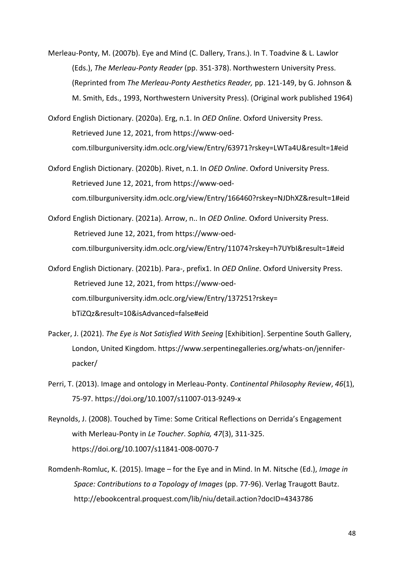- Merleau-Ponty, M. (2007b). Eye and Mind (C. Dallery, Trans.). In T. Toadvine & L. Lawlor (Eds.), *The Merleau-Ponty Reader* (pp. 351-378). Northwestern University Press. (Reprinted from *The Merleau-Ponty Aesthetics Reader,* pp. 121-149, by G. Johnson & M. Smith, Eds., 1993, Northwestern University Press). (Original work published 1964)
- Oxford English Dictionary. (2020a). Erg, n.1. In *OED Online*. Oxford University Press. Retrieved June 12, 2021, from https://www-oedcom.tilburguniversity.idm.oclc.org/view/Entry/63971?rskey=LWTa4U&result=1#eid
- Oxford English Dictionary. (2020b). Rivet, n.1. In *OED Online*. Oxford University Press. Retrieved June 12, 2021, from https://www-oedcom.tilburguniversity.idm.oclc.org/view/Entry/166460?rskey=NJDhXZ&result=1#eid
- Oxford English Dictionary. (2021a). Arrow, n.. In *OED Online.* Oxford University Press. Retrieved June 12, 2021, from https://www-oedcom.tilburguniversity.idm.oclc.org/view/Entry/11074?rskey=h7UYbI&result=1#eid
- Oxford English Dictionary. (2021b). Para-, prefix1. In *OED Online*. Oxford University Press. Retrieved June 12, 2021, from https://www-oedcom.tilburguniversity.idm.oclc.org/view/Entry/137251?rskey= bTiZQz&result=10&isAdvanced=false#eid
- Packer, J. (2021). *The Eye is Not Satisfied With Seeing* [Exhibition]. Serpentine South Gallery, London, United Kingdom. https://www.serpentinegalleries.org/whats-on/jenniferpacker/
- Perri, T. (2013). Image and ontology in Merleau-Ponty. *Continental Philosophy Review*, *46*(1), 75-97. <https://doi.org/10.1007/s11007-013-9249-x>
- Reynolds, J. (2008). Touched by Time: Some Critical Reflections on Derrida's Engagement with Merleau-Ponty in *Le Toucher*. *Sophia, 47*(3), 311-325. <https://doi.org/10.1007/s11841-008-0070-7>
- Romdenh-Romluc, K. (2015). Image for the Eye and in Mind. In M. Nitsche (Ed.), *Image in Space: Contributions to a Topology of Images* (pp. 77-96). Verlag Traugott Bautz. <http://ebookcentral.proquest.com/lib/niu/detail.action?docID=4343786>